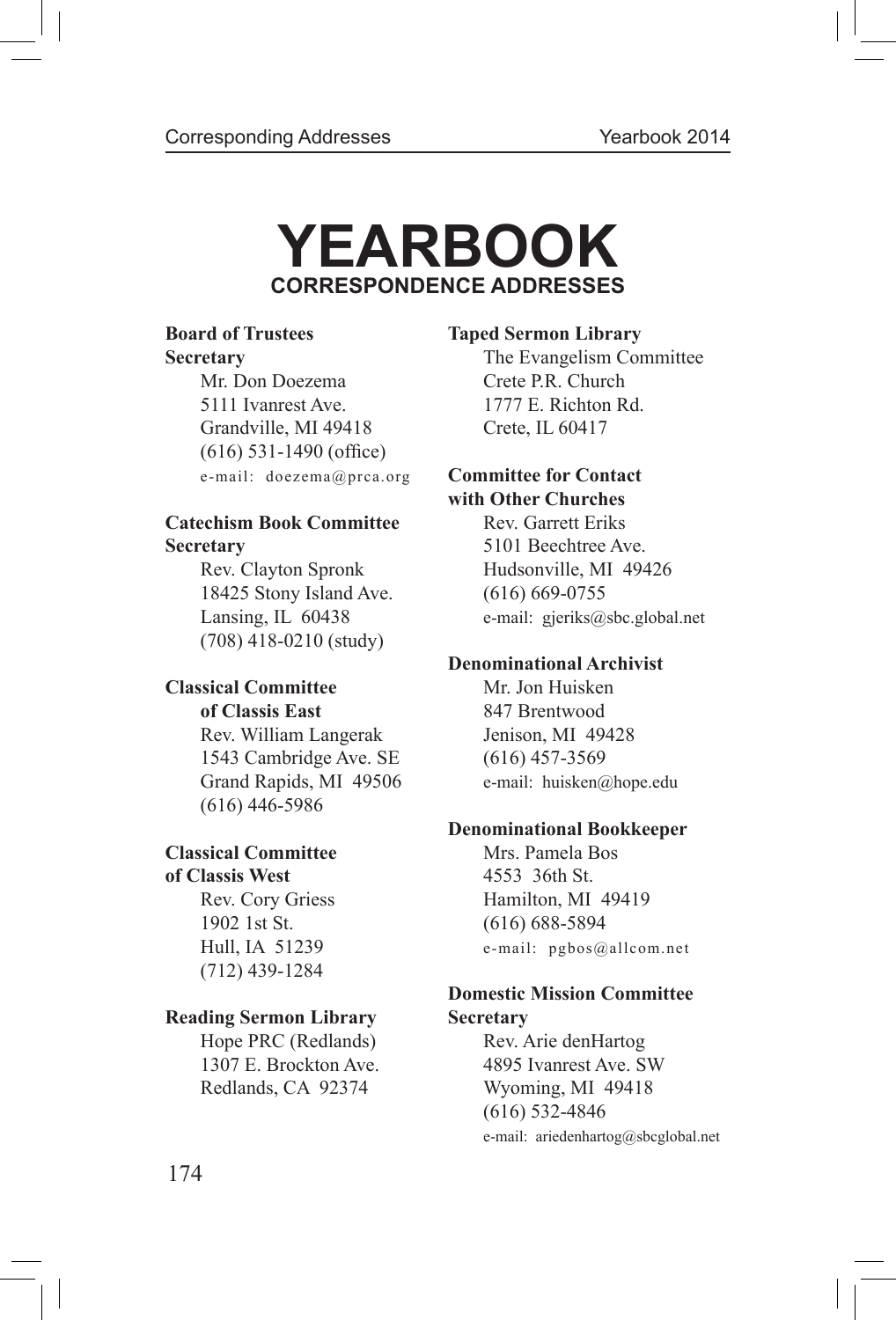# **YEARBOOK CORRESPONDENCE ADDRESSES**

Mr. Don Doezema Crete P.R. Church 5111 Ivanrest Ave. 1777 E. Richton Rd. Grandville, MI 49418 Crete, IL 60417 (616) 531-1490 (office) e-mail: doezema@prca.org **Committee for Contact**

## **Catechism Book Committee Rev. Garrett Eriks Secretary** 5101 Beechtree Ave.

18425 Stony Island Ave. (616) 669-0755 (708) 418-0210 (study)

# **Classical Committee** Mr. Jon Huisken

Rev. William Langerak Jenison, MI 49428 1543 Cambridge Ave. SE (616) 457-3569 Grand Rapids, MI 49506 e-mail: huisken@hope.edu (616) 446-5986

# **Classical Committee** Mrs. Pamela Bos

1902 1st St. (616) 688-5894 (712) 439-1284

## **Reading Sermon Library Secretary**

Hope PRC (Redlands)Rev. Arie denHartog

## **Board of Trustees Taped Sermon Library**

**Secretary The Evangelism Committee** 

# **with Other Churches**

Rev. Clayton Spronk Hudsonville, MI 49426 Lansing, IL 60438 e-mail: gjeriks@sbc.global.net

## **Denominational Archivist**

**of Classis East** 847 Brentwood

# **Denominational Bookkeeper**

**of Classis West** 4553 36th St. Rev. Cory Griess Hamilton, MI 49419 Hull, IA 51239 e-mail: pgbos@allcom.net

# **Domestic Mission Committee**

1307 E. Brockton Ave. 4895 Ivanrest Ave. SW Redlands, CA 92374 Wyoming, MI 49418 (616) 532-4846 e-mail: ariedenhartog@sbcglobal.net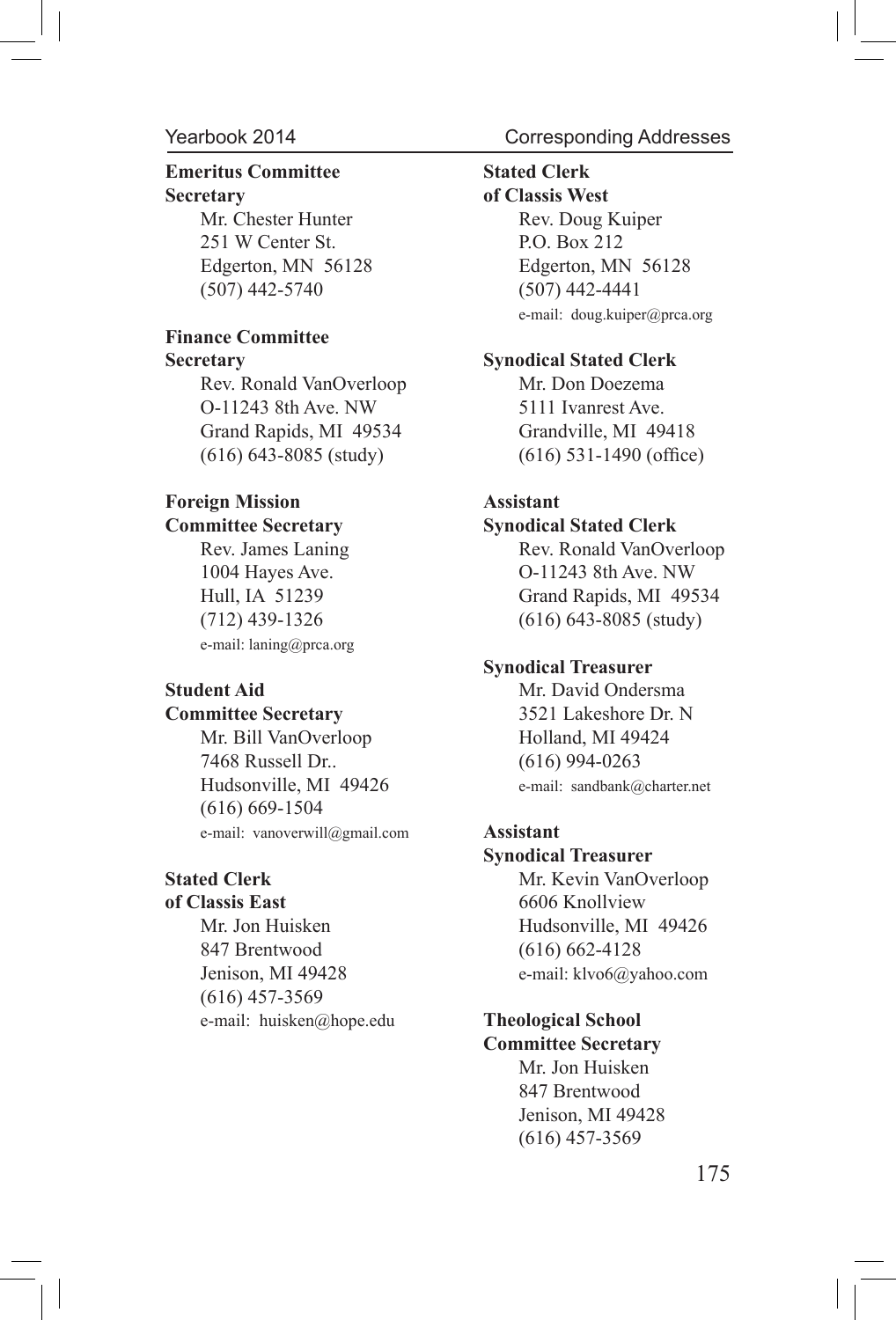# **Emeritus Committee Stated Clerk Secretary of Classis West**

251 W Center St.P.O. Box 212 (507) 442-5740 (507) 442-4441

# **Finance Committee**

Rev. Ronald VanOverloopMr. Don Doezema O-11243 8th Ave. NW 5111 Ivanrest Ave. Grand Rapids, MI 49534 Grandville, MI 49418  $(616)$  643-8085 (study)  $(616)$  531-1490 (office)

### **Foreign Mission Assistant Committee Secretary Synodical Stated Clerk**

e-mail: laning@prca.org

Mr. Bill VanOverloop Holland, MI 49424 7468 Russell Dr.. (616) 994-0263 Hudsonville, MI 49426 e-mail: sandbank@charter.net (616) 669-1504 e-mail: vanoverwill@gmail.com **Assistant**

847 Brentwood (616) 662-4128 Jenison, MI 49428 e-mail: klvo6@yahoo.com (616) 457-3569 e-mail: huisken@hope.edu **Theological School**

# Corresponding Addresses

Mr. Chester Hunter **Rev. Doug Kuiper** Edgerton, MN 56128Edgerton, MN 56128 e-mail: doug.kuiper@prca.org

#### **Secretary Synodical Stated Clerk**

Rev. James LaningRev. Ronald VanOverloop 1004 Hayes Ave. O-11243 8th Ave. NW Hull, IA 51239 Grand Rapids, MI 49534 (712) 439-1326 (616) 643-8085 (study)

#### **Synodical Treasurer**

**Student Aid** Mr. David Ondersma **Committee Secretary** 3521 Lakeshore Dr. N

#### **Synodical Treasurer**

**Stated Clerk Mr. Kevin VanOverloop of Classis East** 6606 Knollview Mr. Jon Huisken Hudsonville, MI 49426

# **Committee Secretary**

 Mr. Jon Huisken 847 Brentwood Jenison, MI 49428 (616) 457-3569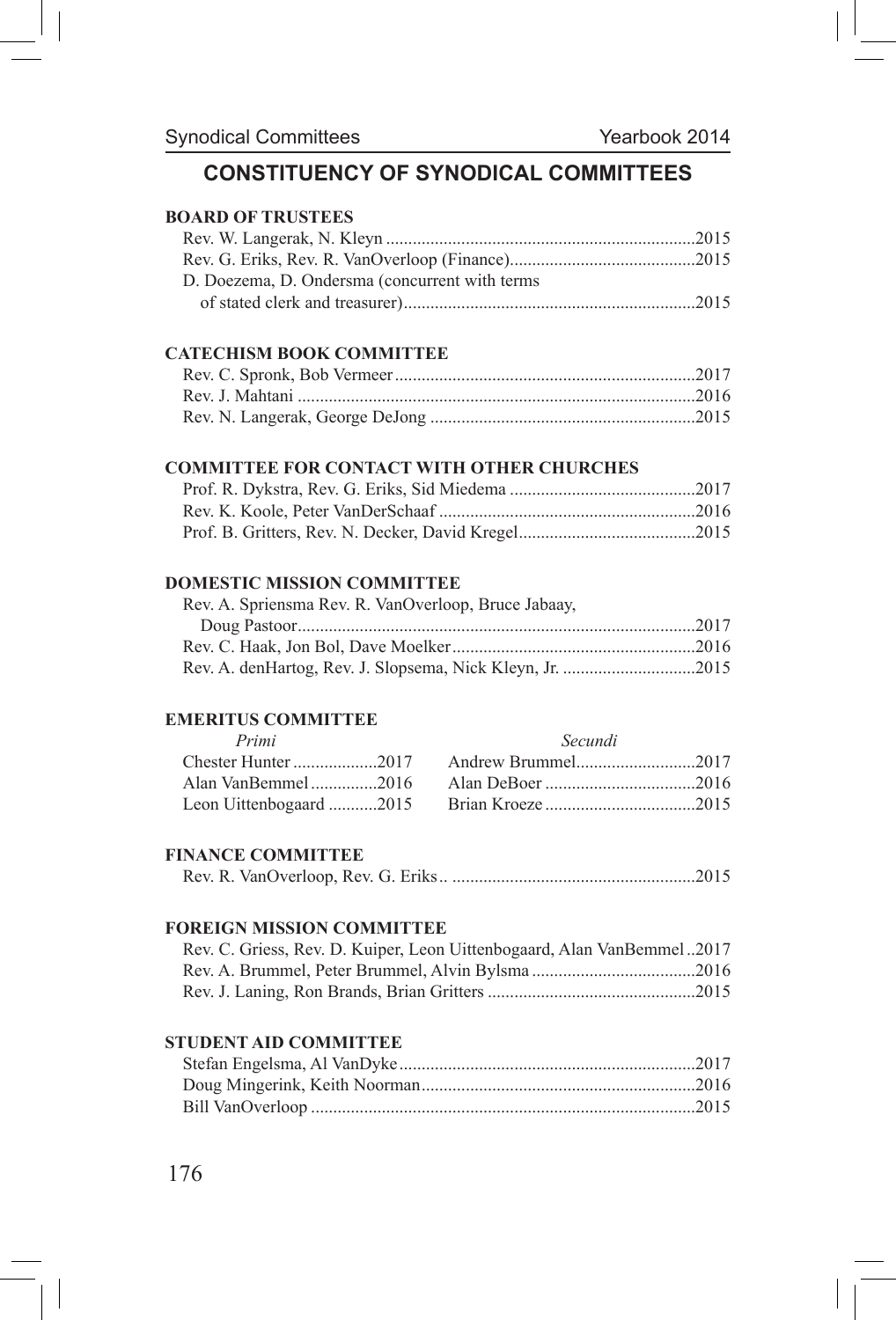# **CONSTITUENCY OF SYNODICAL COMMITTEES**

### **BOARD OF TRUSTEES**

| D. Doezema, D. Ondersma (concurrent with terms) |  |
|-------------------------------------------------|--|
|                                                 |  |

#### **CATECHISM BOOK COMMITTEE**

#### **COMMITTEE FOR CONTACT WITH OTHER CHURCHES**

#### **DOMESTIC MISSION COMMITTEE**

| Rev. A. Spriensma Rev. R. VanOverloop, Bruce Jabaay, |  |
|------------------------------------------------------|--|
|                                                      |  |
|                                                      |  |
|                                                      |  |
|                                                      |  |

#### **EMERITUS COMMITTEE**

| Primi               | Secundi |
|---------------------|---------|
| Chester Hunter 2017 |         |
|                     |         |
|                     |         |

#### **FINANCE COMMITTEE**

|--|--|--|--|--|--|--|--|

#### **FOREIGN MISSION COMMITTEE**

| Rev. C. Griess, Rev. D. Kuiper, Leon Uittenbogaard, Alan VanBemmel2017 |  |
|------------------------------------------------------------------------|--|
|                                                                        |  |
|                                                                        |  |

#### **STUDENT AID COMMITTEE**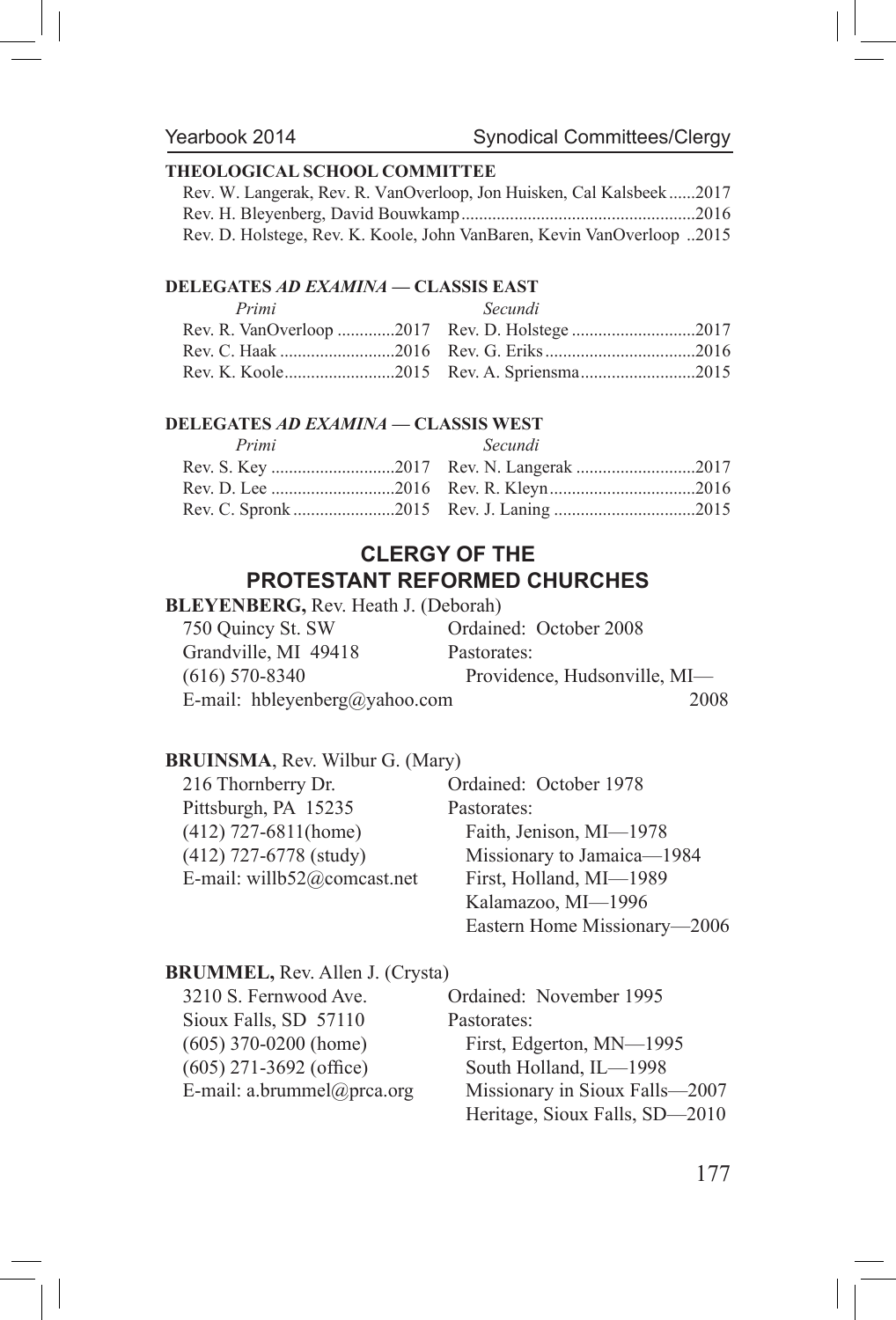### **THEOLOGICAL SCHOOL COMMITTEE**

| Rev. W. Langerak, Rev. R. VanOverloop, Jon Huisken, Cal Kalsbeek2017   |  |
|------------------------------------------------------------------------|--|
|                                                                        |  |
| Rev. D. Holstege, Rev. K. Koole, John VanBaren, Kevin VanOverloop 2015 |  |

### **DELEGATES** *AD EXAMINA* **— CLASSIS EAST**

| Primi | Secundi |
|-------|---------|
|       |         |
|       |         |
|       |         |

### **DELEGATES** *AD EXAMINA* **— CLASSIS WEST**

| Primi | Secundi |
|-------|---------|
|       |         |
|       |         |
|       |         |

# **CLERGY OF THE PROTESTANT REFORMED CHURCHES**

#### **BLEYENBERG,** Rev. Heath J. (Deborah)

| 750 Quincy St. SW             | Ordained: October 2008       |
|-------------------------------|------------------------------|
| Grandville, MI 49418          | Pastorates:                  |
| $(616)$ 570-8340              | Providence, Hudsonville, MI- |
| E-mail: hbleyenberg@yahoo.com | 2008                         |

#### **BRUINSMA**, Rev. Wilbur G. (Mary)

| 216 Thornberry Dr.          | Ordained: October 1978       |
|-----------------------------|------------------------------|
| Pittsburgh, PA 15235        | Pastorates:                  |
| $(412)$ 727-6811(home)      | Faith, Jenison, MI-1978      |
| $(412)$ 727-6778 (study)    | Missionary to Jamaica-1984   |
| E-mail: willb52@comcast.net | First, Holland, MI-1989      |
|                             | Kalamazoo, MI-1996           |
|                             | Eastern Home Missionary-2006 |

# **BRUMMEL,** Rev. Allen J. (Crysta)

3210 S. Fernwood Ave. Ordained: November 1995 Sioux Falls, SD 57110 Pastorates:  $(605)$  271-3692 (office) South Holland, IL—1998

(605) 370-0200 (home) First, Edgerton, MN—1995 E-mail: a.brummel@prca.org Missionary in Sioux Falls—2007 Heritage, Sioux Falls, SD—2010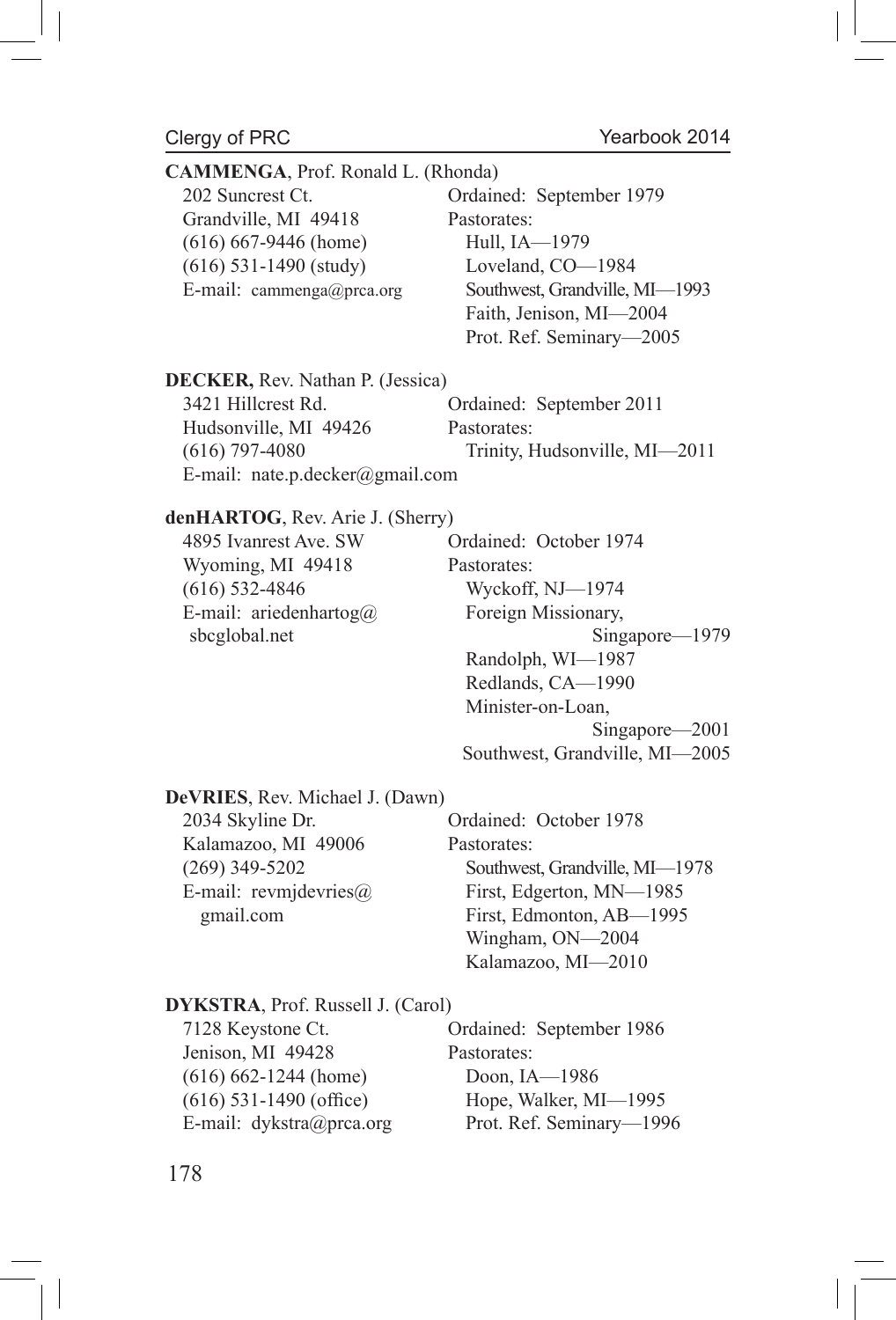$\overline{\phantom{a}}$ 

| CAMMENGA, Prof. Ronald L. (Rhonda)<br>202 Suncrest Ct.<br>Grandville, MI 49418<br>$(616) 667-9446$ (home)<br>$(616)$ 531-1490 (study)<br>E-mail: cammenga@prca.org | Ordained: September 1979<br>Pastorates:<br>Hull, IA-1979<br>Loveland, CO-1984<br>Southwest, Grandville, MI-1993<br>Faith, Jenison, MI-2004<br>Prot. Ref. Seminary-2005                                                |
|--------------------------------------------------------------------------------------------------------------------------------------------------------------------|-----------------------------------------------------------------------------------------------------------------------------------------------------------------------------------------------------------------------|
| DECKER, Rev. Nathan P. (Jessica)<br>3421 Hillcrest Rd.<br>Hudsonville, MI 49426<br>$(616)$ 797-4080<br>E-mail: nate.p.decker@gmail.com                             | Ordained: September 2011<br>Pastorates:<br>Trinity, Hudsonville, MI-2011                                                                                                                                              |
| denHARTOG, Rev. Arie J. (Sherry)<br>4895 Ivanrest Ave. SW<br>Wyoming, MI 49418<br>$(616)$ 532-4846<br>E-mail: ariedenhartog@<br>sbcglobal.net                      | Ordained: October 1974<br>Pastorates:<br>Wyckoff, NJ-1974<br>Foreign Missionary,<br>Singapore-1979<br>Randolph, WI-1987<br>Redlands, CA-1990<br>Minister-on-Loan,<br>Singapore-2001<br>Southwest, Grandville, MI-2005 |
| DeVRIES, Rev. Michael J. (Dawn)<br>2034 Skyline Dr.<br>Kalamazoo, MI 49006<br>$(269)$ 349-5202<br>E-mail: revmjdevries@<br>gmail.com                               | Ordained: October 1978<br>Pastorates:<br>Southwest, Grandville, MI-1978<br>First, Edgerton, MN-1985<br>First, Edmonton, AB-1995<br>Wingham, ON-2004<br>Kalamazoo, MI-2010                                             |
| DYKSTRA, Prof. Russell J. (Carol)<br>7128 Keystone Ct.<br>Jenison, MI 49428<br>$(616) 662 - 1244$ (home)<br>$(616)$ 531-1490 (office)<br>E-mail: dykstra@prca.org  | Ordained: September 1986<br>Pastorates:<br>Doon, IA-1986<br>Hope, Walker, MI-1995<br>Prot. Ref. Seminary-1996                                                                                                         |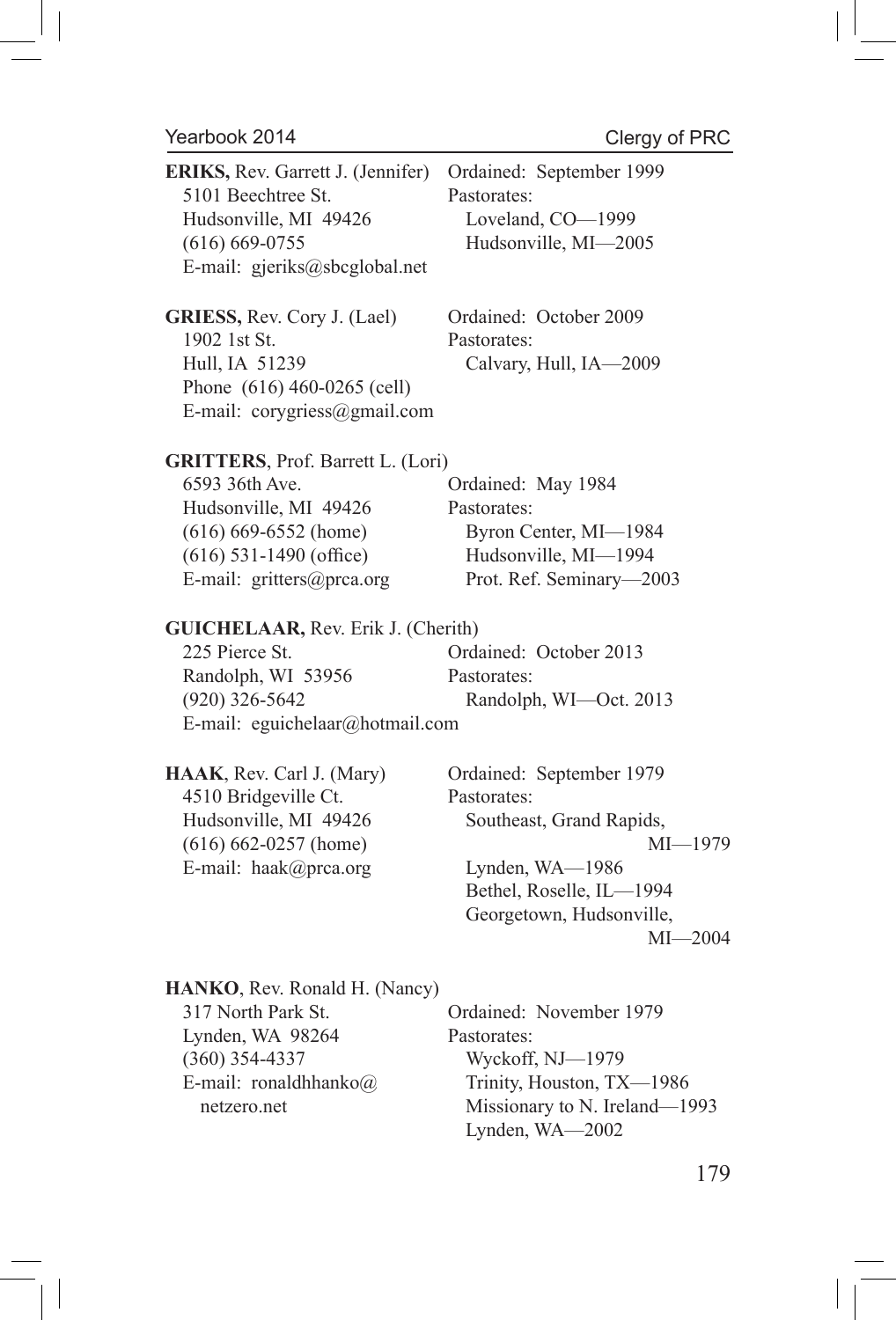$\overline{\phantom{a}}$ 

| ERIKS, Rev. Garrett J. (Jennifer)<br>5101 Beechtree St.<br>Hudsonville, MI 49426<br>$(616) 669 - 0755$<br>E-mail: gjeriks@sbcglobal.net                                   | Ordained: September 1999<br>Pastorates:<br>Loveland, CO-1999<br>Hudsonville, MI-2005                                                                                         |
|---------------------------------------------------------------------------------------------------------------------------------------------------------------------------|------------------------------------------------------------------------------------------------------------------------------------------------------------------------------|
| GRIESS, Rev. Cory J. (Lael)<br>1902 1st St.<br>Hull, IA 51239<br>Phone (616) 460-0265 (cell)<br>E-mail: corygriess@gmail.com                                              | Ordained: October 2009<br>Pastorates:<br>Calvary, Hull, IA-2009                                                                                                              |
| <b>GRITTERS</b> , Prof. Barrett L. (Lori)<br>6593 36th Ave.<br>Hudsonville, MI 49426<br>$(616) 669-6552$ (home)<br>$(616)$ 531-1490 (office)<br>E-mail: gritters@prca.org | Ordained: May 1984<br>Pastorates:<br>Byron Center, MI-1984<br>Hudsonville, MI-1994<br>Prot. Ref. Seminary-2003                                                               |
| <b>GUICHELAAR, Rev. Erik J. (Cherith)</b><br>225 Pierce St.<br>Randolph, WI 53956<br>$(920)$ 326-5642<br>E-mail: eguichelaar@hotmail.com                                  | Ordained: October 2013<br>Pastorates:<br>Randolph, WI-Oct. 2013                                                                                                              |
| HAAK, Rev. Carl J. (Mary)<br>4510 Bridgeville Ct.<br>Hudsonville, MI 49426<br>$(616) 662 - 0257$ (home)<br>E-mail: haak@prca.org                                          | Ordained: September 1979<br>Pastorates:<br>Southeast, Grand Rapids,<br>$MI - 1979$<br>Lynden, WA-1986<br>Bethel, Roselle, IL-1994<br>Georgetown, Hudsonville,<br>$MI - 2004$ |
| HANKO, Rev. Ronald H. (Nancy)<br>317 North Park St.<br>Lynden, WA 98264<br>$(360)$ 354-4337<br>E-mail: ronaldhhanko@<br>netzero.net                                       | Ordained: November 1979<br>Pastorates:<br>Wyckoff, NJ-1979<br>Trinity, Houston, TX-1986<br>Missionary to N. Ireland-1993<br>Lynden, WA-2002                                  |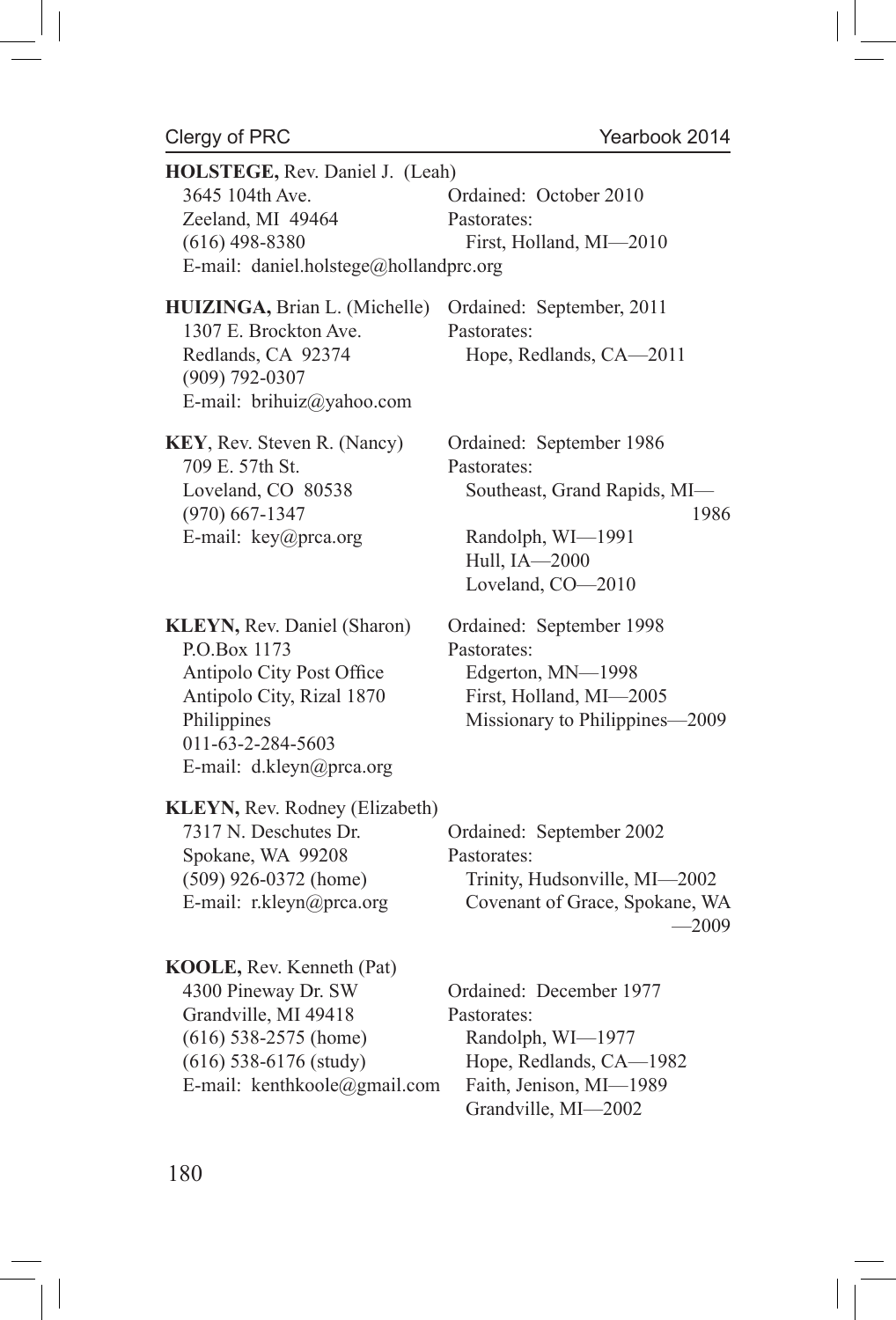$\overline{\phantom{a}}$ 

 $\overline{\phantom{a}}$ 

| HOLSTEGE, Rev. Daniel J. (Leah)<br>3645 104th Ave.<br>Zeeland, MI 49464<br>$(616)$ 498-8380<br>E-mail: daniel.holstege@hollandprc.org                                 | Ordained: October 2010<br>Pastorates:<br>First, Holland, MI-2010                                                                           |
|-----------------------------------------------------------------------------------------------------------------------------------------------------------------------|--------------------------------------------------------------------------------------------------------------------------------------------|
| HUIZINGA, Brian L. (Michelle)<br>1307 E. Brockton Ave.<br>Redlands, CA 92374<br>$(909) 792 - 0307$<br>E-mail: brihuiz@yahoo.com                                       | Ordained: September, 2011<br>Pastorates:<br>Hope, Redlands, CA-2011                                                                        |
| KEY, Rev. Steven R. (Nancy)<br>709 E. 57th St.<br>Loveland, CO 80538<br>$(970) 667 - 1347$<br>E-mail: key@prca.org                                                    | Ordained: September 1986<br>Pastorates:<br>Southeast, Grand Rapids, MI-<br>1986<br>Randolph, WI-1991<br>Hull, IA-2000<br>Loveland, CO-2010 |
| KLEYN, Rev. Daniel (Sharon)<br>P.O.Box 1173<br>Antipolo City Post Office<br>Antipolo City, Rizal 1870<br>Philippines<br>011-63-2-284-5603<br>E-mail: d.kleyn@prca.org | Ordained: September 1998<br>Pastorates:<br>Edgerton, MN-1998<br>First, Holland, MI-2005<br>Missionary to Philippines-2009                  |
| KLEYN, Rev. Rodney (Elizabeth)<br>7317 N. Deschutes Dr.<br>Spokane, WA 99208<br>$(509)$ 926-0372 (home)<br>E-mail: r.kleyn@prca.org                                   | Ordained: September 2002<br>Pastorates:<br>Trinity, Hudsonville, MI-2002<br>Covenant of Grace, Spokane, WA<br>$-2009$                      |
| KOOLE, Rev. Kenneth (Pat)<br>4300 Pineway Dr. SW<br>Grandville, MI 49418<br>$(616)$ 538-2575 (home)<br>$(616)$ 538-6176 (study)<br>E-mail: kenthkoole@gmail.com       | Ordained: December 1977<br>Pastorates:<br>Randolph, WI-1977<br>Hope, Redlands, CA-1982<br>Faith, Jenison, MI-1989<br>Grandville, MI-2002   |

 $\overline{\phantom{a}}$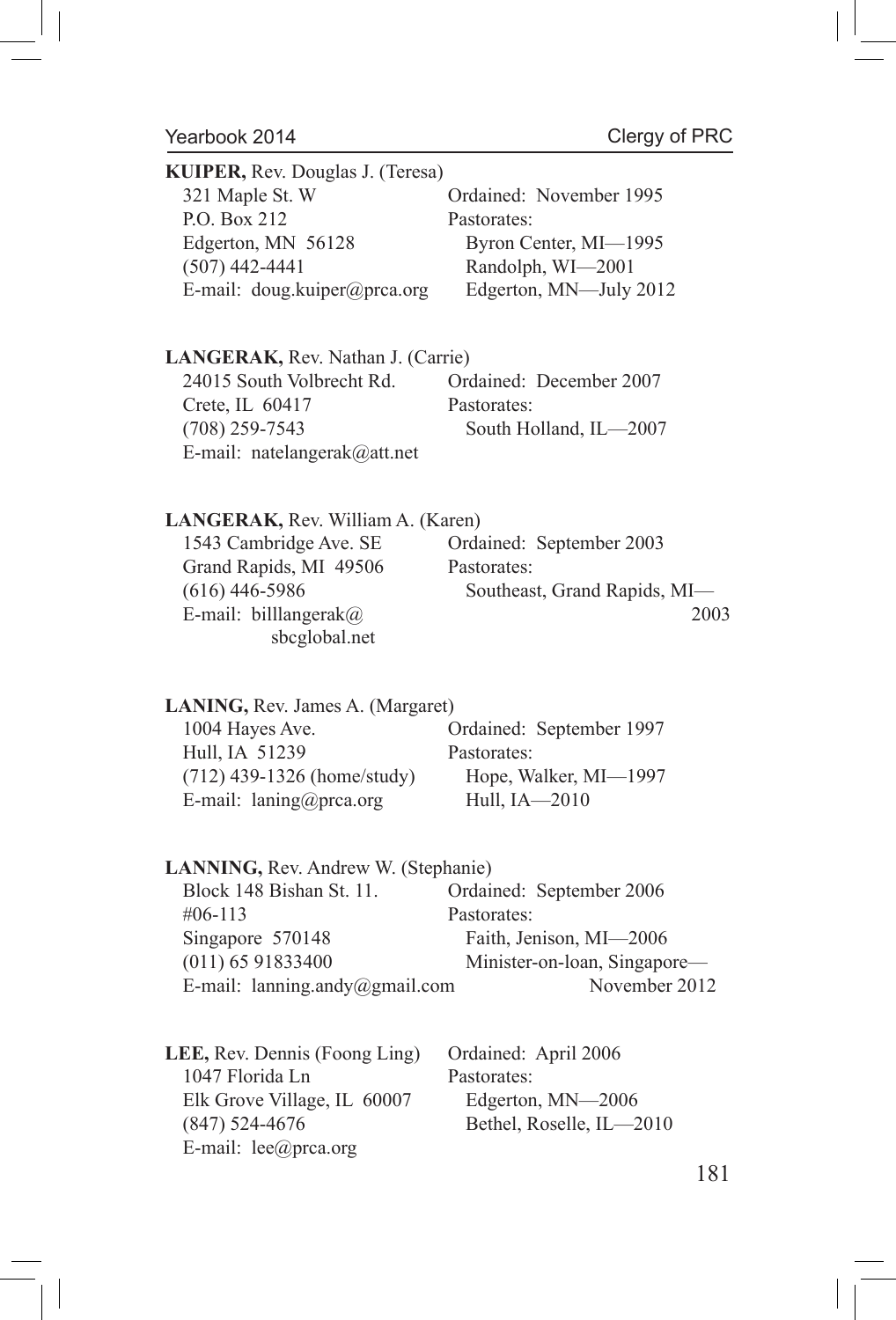| <b>KUIPER, Rev. Douglas J. (Teresa)</b> |                         |  |
|-----------------------------------------|-------------------------|--|
| 321 Maple St. W                         | Ordained: November 1995 |  |
| P.O. Box 212                            | Pastorates:             |  |
| Edgerton, MN 56128                      | Byron Center, MI-1995   |  |
| $(507)$ 442-4441                        | Randolph, WI-2001       |  |
| E-mail: doug.kuiper@prca.org            | Edgerton, MN-July 2012  |  |

**LANGERAK,** Rev. Nathan J. (Carrie) 24015 South Volbrecht Rd. Ordained: December 2007 Crete, IL 60417 Pastorates:<br>(708) 259-7543 South Ho South Holland, IL-2007 E-mail: natelangerak@att.net

# **LANGERAK,** Rev. William A. (Karen)

| 1543 Cambridge Ave. SE        | Ordained: September 2003     |
|-------------------------------|------------------------------|
| Grand Rapids, MI 49506        | Pastorates:                  |
| $(616)$ 446-5986              | Southeast, Grand Rapids, MI- |
| E-mail: billlangerak $\omega$ | 2003                         |
| sbcglobal.net                 |                              |

| <b>LANING</b> , Rev. James A. (Margaret) |                          |  |
|------------------------------------------|--------------------------|--|
| 1004 Hayes Ave.                          | Ordained: September 1997 |  |
| Hull, IA 51239                           | Pastorates:              |  |
| $(712)$ 439-1326 (home/study)            | Hope, Walker, MI-1997    |  |
| E-mail: $lanning@prca.org$               | Hull, IA-2010            |  |

| <b>LANNING, Rev. Andrew W. (Stephanie)</b> |                                |                              |
|--------------------------------------------|--------------------------------|------------------------------|
|                                            | Block 148 Bishan St. 11.       | Ordained: September 2006     |
|                                            | $\#06 - 113$                   | Pastorates:                  |
|                                            | Singapore 570148               | Faith, Jenison, MI-2006      |
|                                            | $(011)$ 65 91833400            | Minister-on-loan, Singapore— |
|                                            | E-mail: lanning.andy@gmail.com | November 2012                |
|                                            |                                |                              |

| <b>LEE, Rev. Dennis (Foong Ling)</b> | Ordained: April 2006     |
|--------------------------------------|--------------------------|
| 1047 Florida Ln                      | Pastorates:              |
| Elk Grove Village, IL 60007          | Edgerton, MN-2006        |
| $(847)$ 524-4676                     | Bethel, Roselle, IL-2010 |
| E-mail: $lee(\omega)$ prca.org       |                          |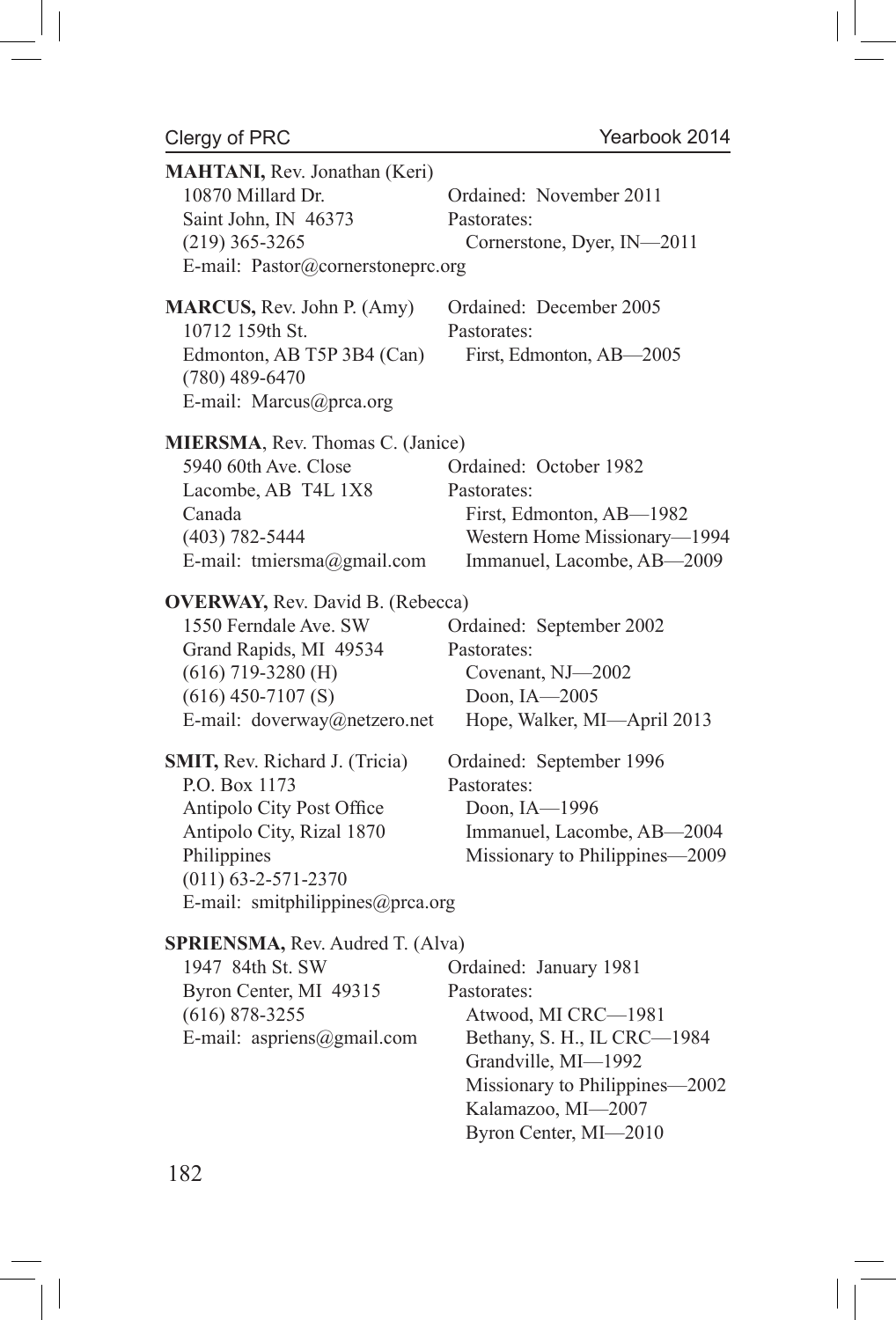$\begin{array}{c} \hline \end{array}$ 

| MAHTANI, Rev. Jonathan (Keri)<br>10870 Millard Dr.<br>Saint John, IN 46373<br>$(219)$ 365-3265<br>E-mail: Pastor@cornerstoneprc.org                                                                                                                                                                                                                                         | Ordained: November 2011<br>Pastorates:<br>Cornerstone, Dyer, IN-2011                                                                                                                                                                     |
|-----------------------------------------------------------------------------------------------------------------------------------------------------------------------------------------------------------------------------------------------------------------------------------------------------------------------------------------------------------------------------|------------------------------------------------------------------------------------------------------------------------------------------------------------------------------------------------------------------------------------------|
| MARCUS, Rev. John P. (Amy)<br>10712 159th St.<br>Edmonton, AB T5P 3B4 (Can)<br>$(780)$ 489-6470<br>E-mail: Marcus@prca.org                                                                                                                                                                                                                                                  | Ordained: December 2005<br>Pastorates:<br>First, Edmonton, AB-2005                                                                                                                                                                       |
| MIERSMA, Rev. Thomas C. (Janice)<br>5940 60th Ave. Close<br>Lacombe, AB T4L 1X8<br>Canada<br>$(403) 782 - 5444$<br>E-mail: tmiersma@gmail.com                                                                                                                                                                                                                               | Ordained: October 1982<br>Pastorates:<br>First, Edmonton, AB-1982<br>Western Home Missionary-1994<br>Immanuel, Lacombe, AB-2009                                                                                                          |
| <b>OVERWAY, Rev. David B. (Rebecca)</b><br>1550 Ferndale Ave. SW<br>Grand Rapids, MI 49534<br>$(616)$ 719-3280 (H)<br>$(616)$ 450-7107 $(S)$<br>E-mail: doverway@netzero.net<br>SMIT, Rev. Richard J. (Tricia)<br>P.O. Box 1173<br>Antipolo City Post Office<br>Antipolo City, Rizal 1870<br>Philippines<br>$(011) 63 - 2 - 571 - 2370$<br>E-mail: smitphilippines@prca.org | Ordained: September 2002<br>Pastorates:<br>Covenant, NJ-2002<br>Doon, IA-2005<br>Hope, Walker, MI-April 2013<br>Ordained: September 1996<br>Pastorates:<br>Doon, IA-1996<br>Immanuel, Lacombe, AB-2004<br>Missionary to Philippines-2009 |
| SPRIENSMA, Rev. Audred T. (Alva)<br>1947 84th St. SW<br>Byron Center, MI 49315<br>$(616)$ 878-3255<br>E-mail: aspriens@gmail.com                                                                                                                                                                                                                                            | Ordained: January 1981<br>Pastorates:<br>Atwood, MI CRC-1981<br>Bethany, S. H., IL CRC-1984<br>Grandville, MI-1992<br>Missionary to Philippines-2002<br>Kalamazoo, MI-2007<br>Byron Center, MI-2010                                      |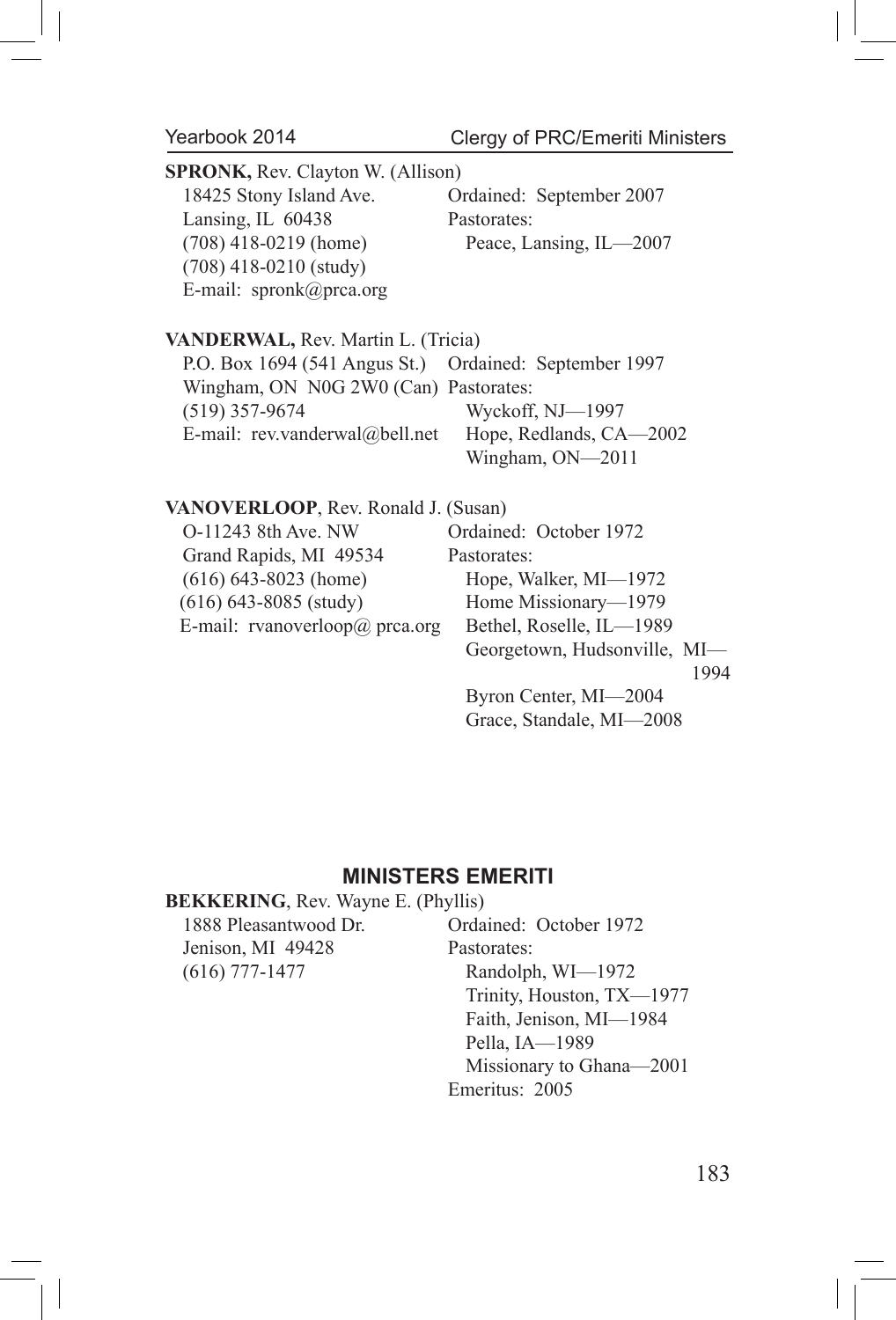Clergy of PRC/Emeriti Ministers

| <b>SPRONK, Rev. Clayton W. (Allison)</b>               |                          |  |
|--------------------------------------------------------|--------------------------|--|
| 18425 Stony Island Ave.                                | Ordained: September 2007 |  |
| Lansing, IL 60438                                      | Pastorates:              |  |
| $(708)$ 418-0219 (home)                                | Peace, Lansing, IL-2007  |  |
| $(708)$ 418-0210 (study)                               |                          |  |
| E-mail: $spronk@prca.org$                              |                          |  |
|                                                        |                          |  |
| <b>VANDERWAL, Rev. Martin L. (Tricia)</b>              |                          |  |
| P.O. Box 1694 (541 Angus St.) Ordained: September 1997 |                          |  |
| Wingham, ON N0G 2W0 (Can) Pastorates:                  |                          |  |
| $(519)$ 357-9674                                       | Wyckoff, NJ—1997         |  |
| E-mail: rev.vanderwal@bell.net Hope, Redlands, CA-2002 |                          |  |
|                                                        | Wingham, ON-2011         |  |
| VANOVERLOOP, Rev. Ronald J. (Susan)                    |                          |  |
| O-11243 8th Ave. NW                                    | Ordained: October 1972   |  |
|                                                        |                          |  |
| Grand Rapids, MI 49534                                 | Pastorates:              |  |
| $(616)$ 643-8023 (home)                                | Hope, Walker, MI-1972    |  |
| $(616)$ 643-8085 (study)                               | Home Missionary—1979     |  |

E-mail: rvanoverloop@ prca.org Bethel, Roselle, IL-1989

1994

 Byron Center, MI—2004 Grace, Standale, MI—2008

Georgetown, Hudsonville, MI—

### **MINISTERS EMERITI**

# **BEKKERING**, Rev. Wayne E. (Phyllis)

1888 Pleasantwood Dr. Ordained: October 1972 Jenison, MI 49428 Pastorates: (616) 777-1477 Randolph, WI—1972

 Trinity, Houston, TX—1977 Faith, Jenison, MI—1984 Pella, IA—1989 Missionary to Ghana—2001 Emeritus: 2005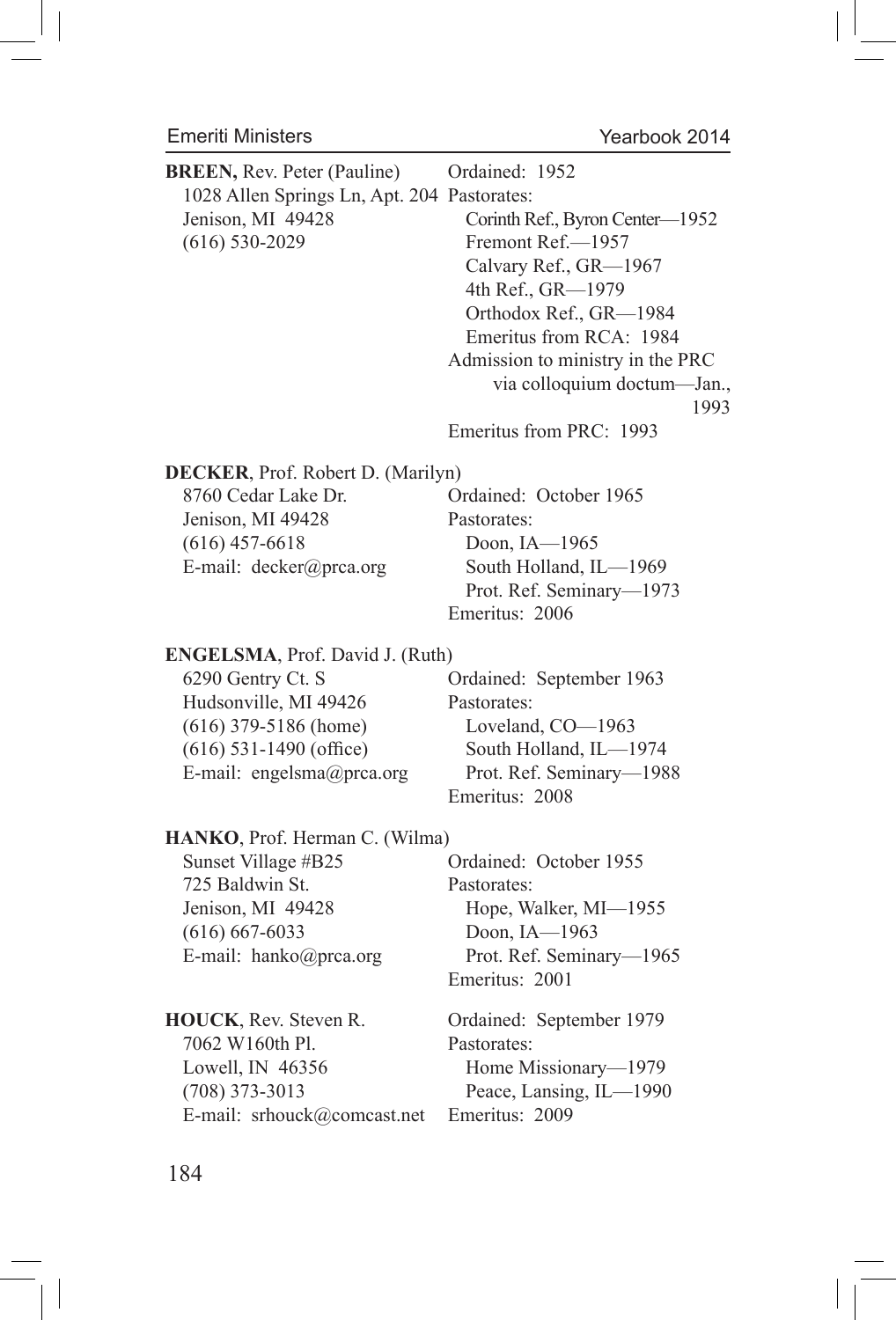# Emeriti Ministers

 $\vert \, \vert$ 

Yearbook 2014

 $\bigg\vert$ 

| <b>BREEN, Rev. Peter (Pauline)</b><br>1028 Allen Springs Ln, Apt. 204 Pastorates:<br>Jenison, MI 49428<br>$(616) 530 - 2029$ | Ordained: 1952<br>Corinth Ref., Byron Center-1952<br>Fremont Ref.-1957<br>Calvary Ref., GR-1967<br>4th Ref., GR-1979<br>Orthodox Ref., GR-1984<br>Emeritus from RCA: 1984<br>Admission to ministry in the PRC<br>via colloquium doctum-Jan., |
|------------------------------------------------------------------------------------------------------------------------------|----------------------------------------------------------------------------------------------------------------------------------------------------------------------------------------------------------------------------------------------|
|                                                                                                                              | 1993<br>Emeritus from PRC: 1993                                                                                                                                                                                                              |
| DECKER, Prof. Robert D. (Marilyn)<br>8760 Cedar Lake Dr.<br>Jenison, MI 49428<br>$(616)$ 457-6618<br>E-mail: decker@prca.org | Ordained: October 1965<br>Pastorates:<br>Doon, IA-1965<br>South Holland, IL-1969<br>Prot. Ref. Seminary-1973<br>Emeritus: 2006                                                                                                               |
| ENGELSMA, Prof. David J. (Ruth)                                                                                              | Ordained: September 1963                                                                                                                                                                                                                     |
| 6290 Gentry Ct. S                                                                                                            | Pastorates:                                                                                                                                                                                                                                  |
| Hudsonville, MI 49426                                                                                                        | Loveland, CO-1963                                                                                                                                                                                                                            |
| $(616)$ 379-5186 (home)                                                                                                      | South Holland, IL-1974                                                                                                                                                                                                                       |
| $(616)$ 531-1490 (office)                                                                                                    | Prot. Ref. Seminary-1988                                                                                                                                                                                                                     |
| E-mail: engelsma@prca.org                                                                                                    | Emeritus: 2008                                                                                                                                                                                                                               |
| HANKO, Prof. Herman C. (Wilma)                                                                                               | Ordained: October 1955                                                                                                                                                                                                                       |
| Sunset Village #B25                                                                                                          | Pastorates:                                                                                                                                                                                                                                  |
| 725 Baldwin St.                                                                                                              | Hope, Walker, MI-1955                                                                                                                                                                                                                        |
| Jenison, MI 49428                                                                                                            | Doon, IA-1963                                                                                                                                                                                                                                |
| $(616) 667 - 6033$                                                                                                           | Prot. Ref. Seminary-1965                                                                                                                                                                                                                     |
| E-mail: hanko@prca.org                                                                                                       | Emeritus: 2001                                                                                                                                                                                                                               |
| HOUCK, Rev. Steven R.                                                                                                        | Ordained: September 1979                                                                                                                                                                                                                     |
| 7062 W160th Pl.                                                                                                              | Pastorates:                                                                                                                                                                                                                                  |
| Lowell, IN 46356                                                                                                             | Home Missionary-1979                                                                                                                                                                                                                         |
| $(708)$ 373-3013                                                                                                             | Peace, Lansing, IL-1990                                                                                                                                                                                                                      |
| E-mail: srhouck@comcast.net                                                                                                  | Emeritus: 2009                                                                                                                                                                                                                               |

184

 $\Box$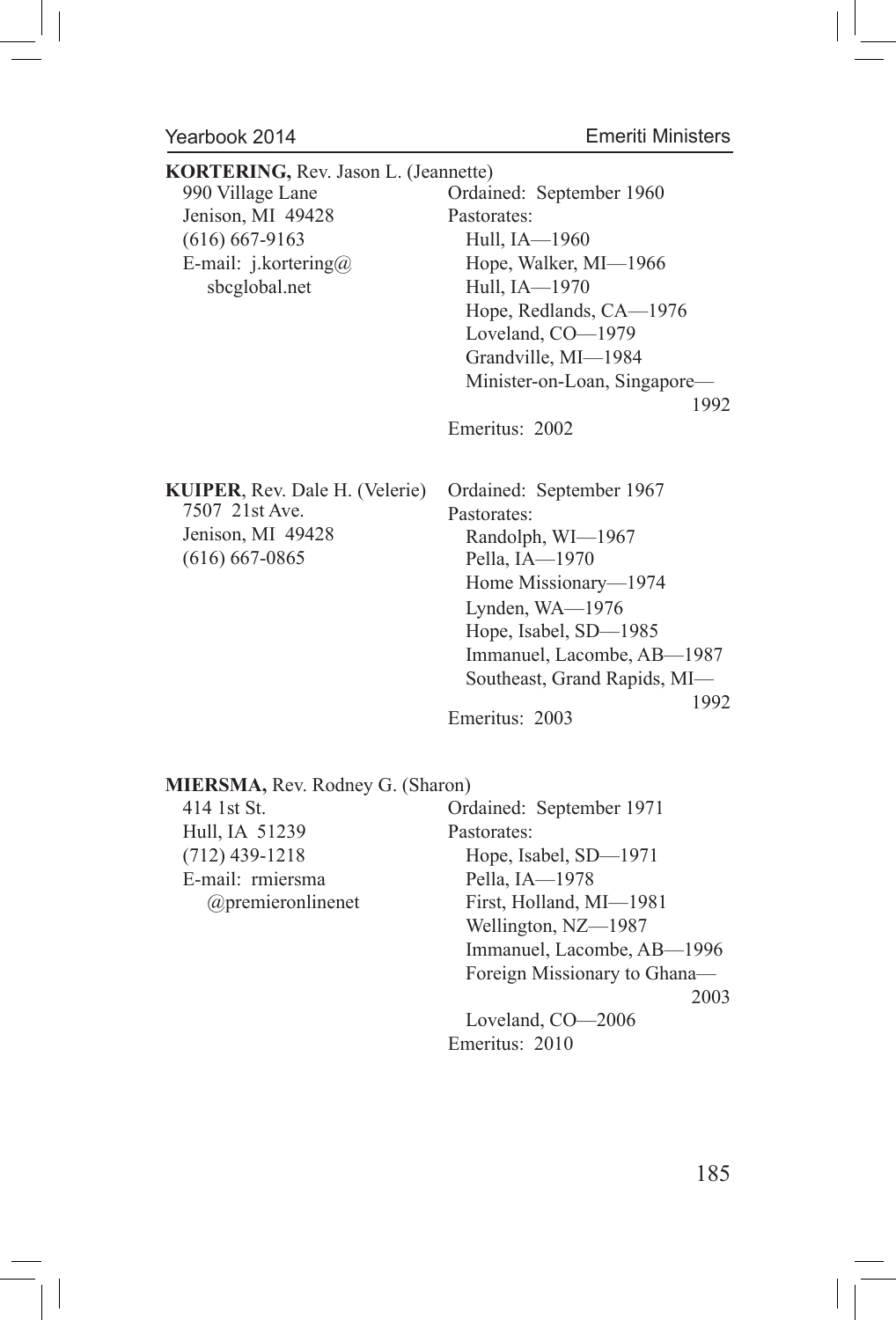Emeriti Ministers

| KORTERING, Rev. Jason L. (Jeannette)<br>990 Village Lane<br>Jenison, MI 49428<br>$(616) 667-9163$<br>E-mail: j.kortering@<br>sbcglobal.net | Ordained: September 1960<br>Pastorates:<br>Hull, IA-1960<br>Hope, Walker, MI-1966<br>Hull, IA-1970<br>Hope, Redlands, CA-1976<br>Loveland, CO-1979<br>Grandville, MI-1984<br>Minister-on-Loan, Singapore-<br>1992<br>Emeritus: 2002        |
|--------------------------------------------------------------------------------------------------------------------------------------------|--------------------------------------------------------------------------------------------------------------------------------------------------------------------------------------------------------------------------------------------|
| <b>KUIPER, Rev. Dale H. (Velerie)</b><br>7507 21st Ave.<br>Jenison, MI 49428<br>$(616) 667 - 0865$                                         | Ordained: September 1967<br>Pastorates:<br>Randolph, WI-1967<br>Pella, IA-1970<br>Home Missionary-1974<br>Lynden, WA-1976<br>Hope, Isabel, SD-1985<br>Immanuel, Lacombe, AB-1987<br>Southeast, Grand Rapids, MI-<br>1992<br>Emeritus: 2003 |
| MIERSMA, Rev. Rodney G. (Sharon)                                                                                                           |                                                                                                                                                                                                                                            |

Hull, IA 51239 Pastorates: E-mail: rmiersma Pella, IA—1978

414 1st St. Ordained: September 1971 (712) 439-1218 Hope, Isabel, SD—1971 @premieronlinenet First, Holland, MI—1981 Wellington, NZ—1987 Immanuel, Lacombe, AB—1996 Foreign Missionary to Ghana— 2003 Loveland, CO—2006 Emeritus: 2010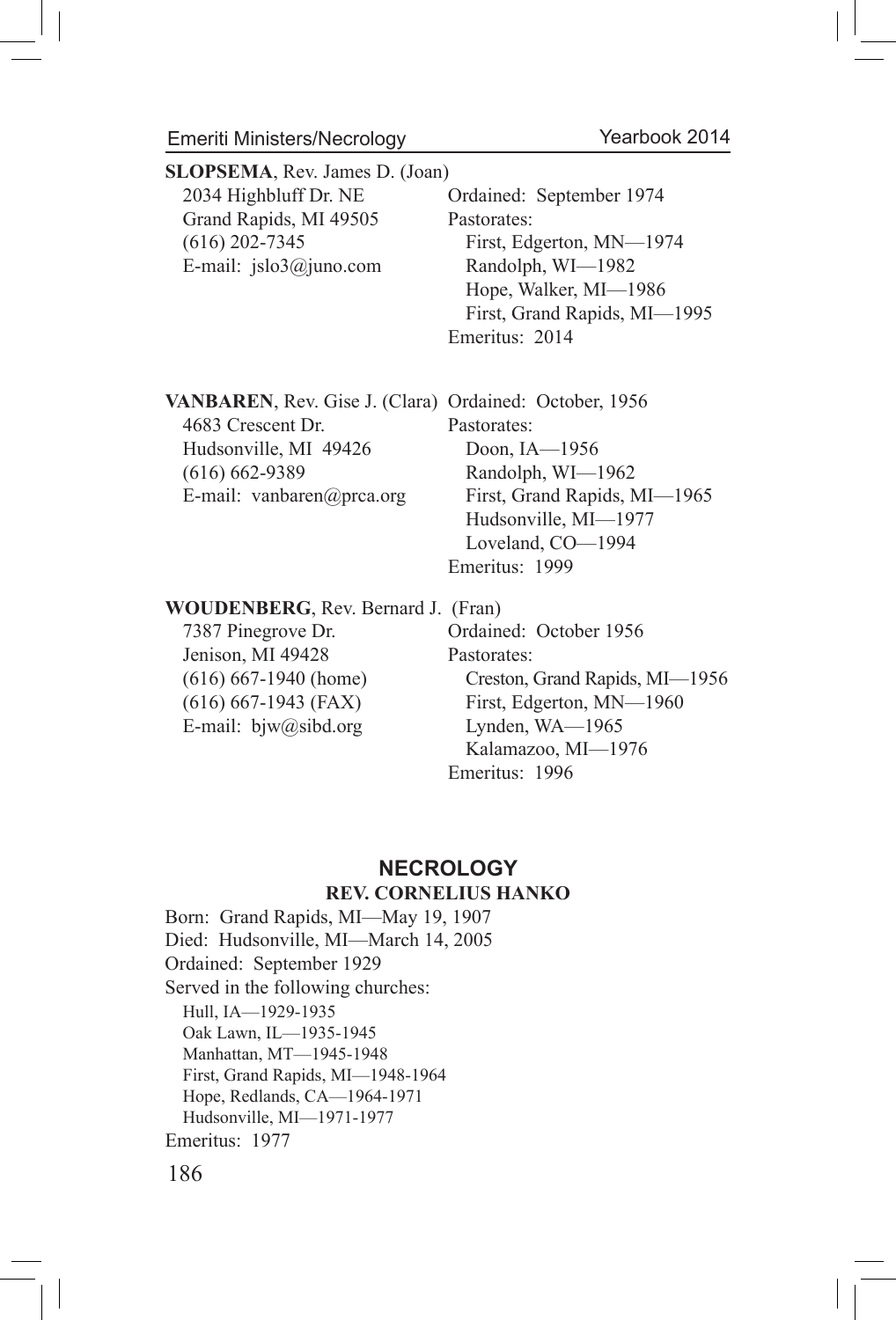Emeriti Ministers/Necrology

| <b>SLOPSEMA, Rev. James D. (Joan)</b> |                              |
|---------------------------------------|------------------------------|
| 2034 Highbluff Dr. NE                 | Ordained: September 1974     |
| Grand Rapids, MI 49505                | Pastorates:                  |
| $(616)$ 202-7345                      | First, Edgerton, MN-1974     |
| E-mail: $jslo3@juno.com$              | Randolph, WI-1982            |
|                                       | Hope, Walker, MI-1986        |
|                                       | First, Grand Rapids, MI-1995 |
|                                       | Emeritus: 2014               |

**VANBAREN**, Rev. Gise J. (Clara) Ordained: October, 1956 4683 Crescent Dr. Pastorates: Hudsonville, MI 49426 Doon, IA-1956 (616) 662-9389 Randolph, WI—1962 E-mail: vanbaren@prca.org First, Grand Rapids, MI-1965 Hudsonville, MI—1977 Loveland, CO—1994

Emeritus: 1999

**WOUDENBERG**, Rev. Bernard J. (Fran)

Jenison, MI 49428 Pastorates: E-mail: bjw@sibd.org Lynden, WA—1965

7387 Pinegrove Dr. Ordained: October 1956 (616) 667-1940 (home) Creston, Grand Rapids, MI—1956 (616) 667-1943 (FAX) First, Edgerton, MN—1960 Kalamazoo, MI—1976 Emeritus: 1996

# **NECROLOGY**

#### **REV. CORNELIUS HANKO**

Born: Grand Rapids, MI—May 19, 1907 Died: Hudsonville, MI—March 14, 2005 Ordained: September 1929 Served in the following churches: Hull, IA—1929-1935 Oak Lawn, IL—1935-1945 Manhattan, MT—1945-1948 First, Grand Rapids, MI—1948-1964 Hope, Redlands, CA—1964-1971 Hudsonville, MI—1971-1977 Emeritus: 1977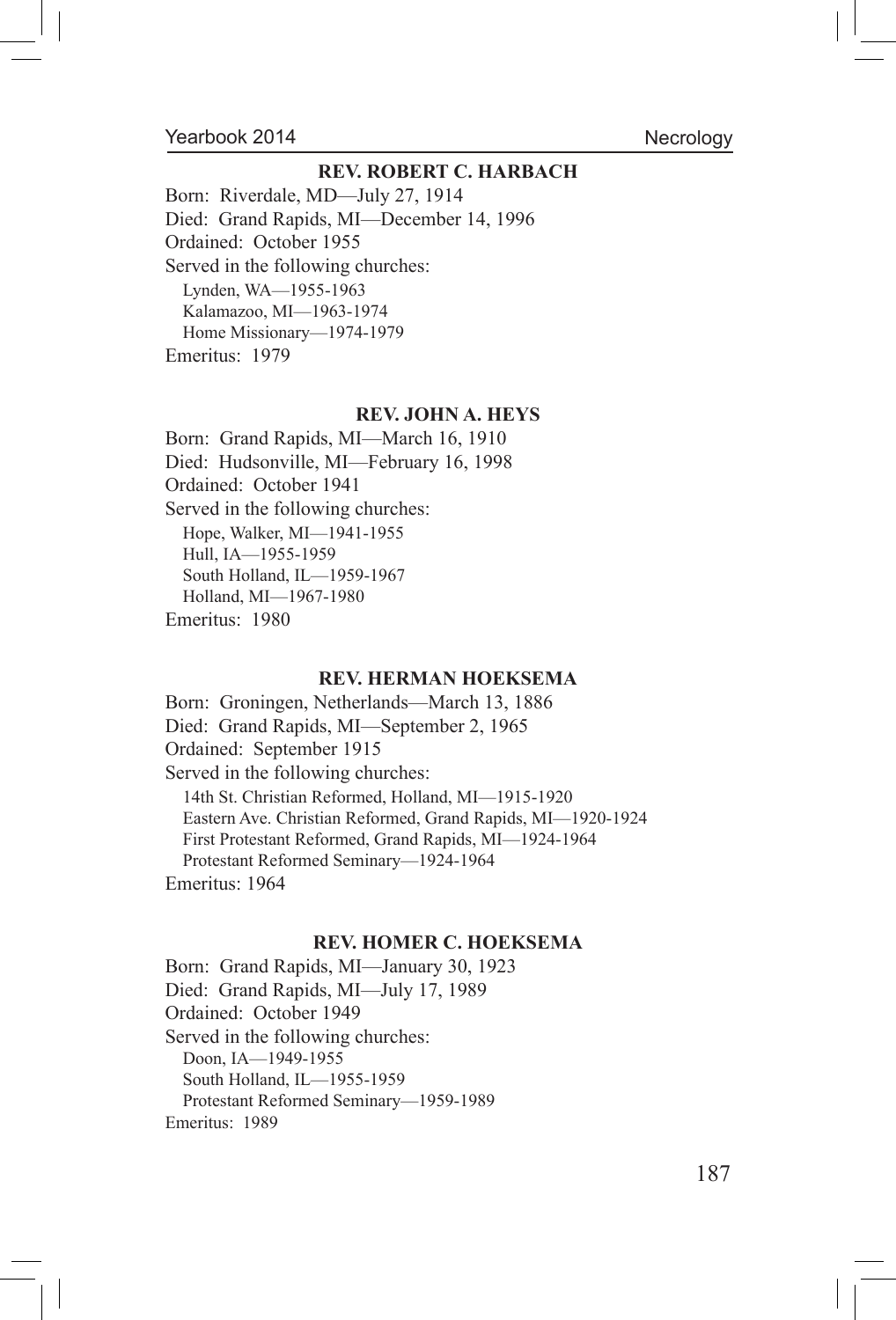#### Necrology

#### **REV. ROBERT C. HARBACH**

Born: Riverdale, MD—July 27, 1914 Died: Grand Rapids, MI—December 14, 1996 Ordained: October 1955 Served in the following churches: Lynden, WA—1955-1963 Kalamazoo, MI—1963-1974 Home Missionary—1974-1979 Emeritus: 1979

#### **REV. JOHN A. HEYS**

Born: Grand Rapids, MI—March 16, 1910 Died: Hudsonville, MI—February 16, 1998 Ordained: October 1941 Served in the following churches: Hope, Walker, MI—1941-1955 Hull, IA—1955-1959 South Holland, IL—1959-1967 Holland, MI—1967-1980 Emeritus: 1980

#### **REV. HERMAN HOEKSEMA**

Born: Groningen, Netherlands—March 13, 1886 Died: Grand Rapids, MI—September 2, 1965 Ordained: September 1915 Served in the following churches: 14th St. Christian Reformed, Holland, MI—1915-1920 Eastern Ave. Christian Reformed, Grand Rapids, MI—1920-1924 First Protestant Reformed, Grand Rapids, MI—1924-1964 Protestant Reformed Seminary—1924-1964 Emeritus: 1964

#### **REV. HOMER C. HOEKSEMA**

Born: Grand Rapids, MI—January 30, 1923 Died: Grand Rapids, MI—July 17, 1989 Ordained: October 1949 Served in the following churches: Doon, IA—1949-1955 South Holland, IL—1955-1959 Protestant Reformed Seminary—1959-1989 Emeritus: 1989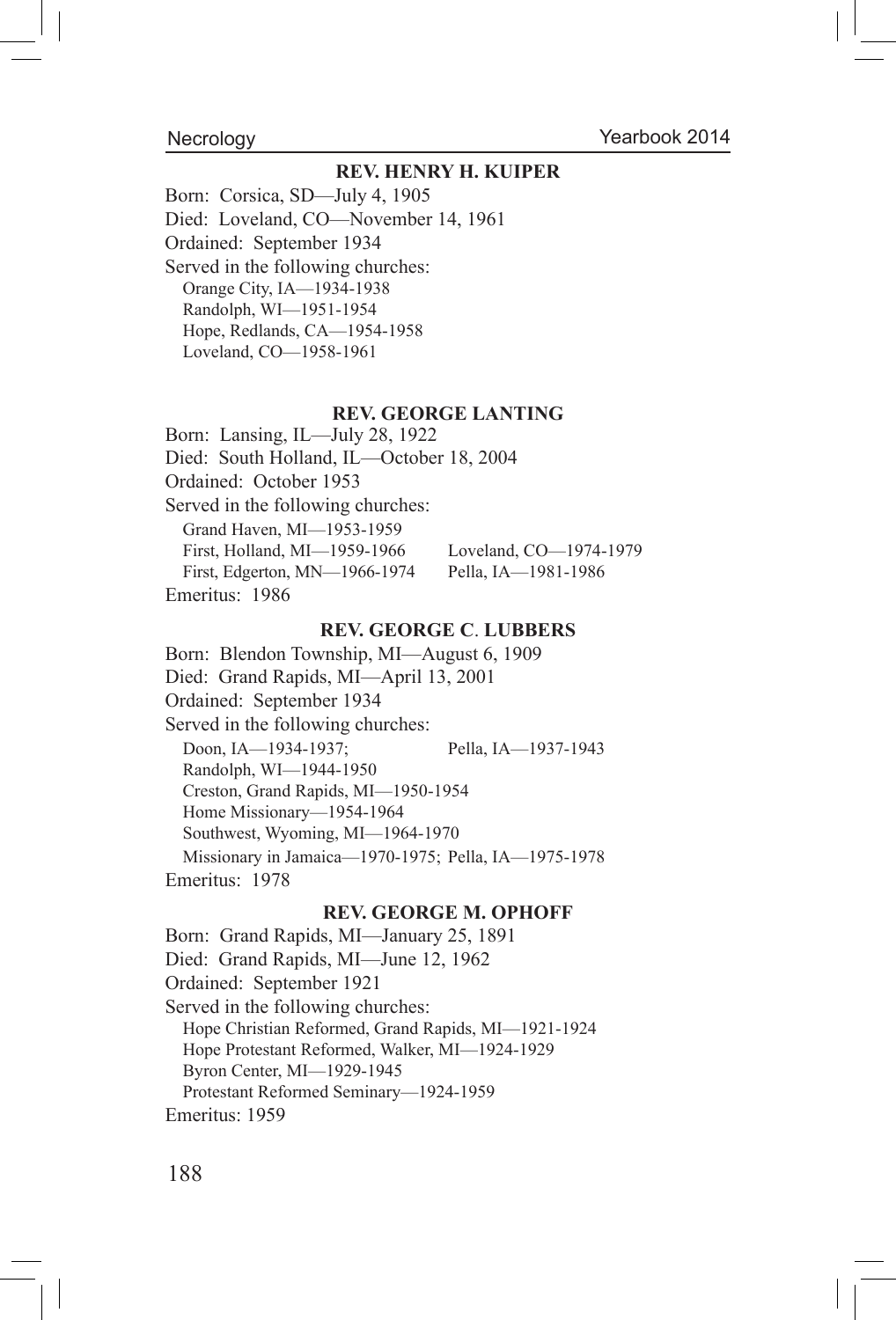#### **Necrology**

#### **REV. HENRY H. KUIPER**

Born: Corsica, SD—July 4, 1905 Died: Loveland, CO—November 14, 1961 Ordained: September 1934 Served in the following churches: Orange City, IA—1934-1938 Randolph, WI—1951-1954 Hope, Redlands, CA—1954-1958 Loveland, CO—1958-1961

#### **REV. GEORGE LANTING**

Born: Lansing, IL—July 28, 1922 Died: South Holland, IL—October 18, 2004 Ordained: October 1953 Served in the following churches: Grand Haven, MI—1953-1959 First, Holland, MI—1959-1966 Loveland, CO—1974-1979 First, Edgerton, MN—1966-1974 Pella, IA—1981-1986 Emeritus: 1986

#### **REV. GEORGE C**. **LUBBERS**

Born: Blendon Township, MI—August 6, 1909 Died: Grand Rapids, MI—April 13, 2001 Ordained: September 1934 Served in the following churches: Doon, IA—1934-1937; Pella, IA—1937-1943 Randolph, WI—1944-1950 Creston, Grand Rapids, MI—1950-1954 Home Missionary—1954-1964 Southwest, Wyoming, MI—1964-1970 Missionary in Jamaica—1970-1975; Pella, IA—1975-1978 Emeritus: 1978

#### **REV. GEORGE M. OPHOFF**

Born: Grand Rapids, MI—January 25, 1891 Died: Grand Rapids, MI—June 12, 1962 Ordained: September 1921 Served in the following churches: Hope Christian Reformed, Grand Rapids, MI—1921-1924 Hope Protestant Reformed, Walker, MI—1924-1929 Byron Center, MI—1929-1945 Protestant Reformed Seminary—1924-1959 Emeritus: 1959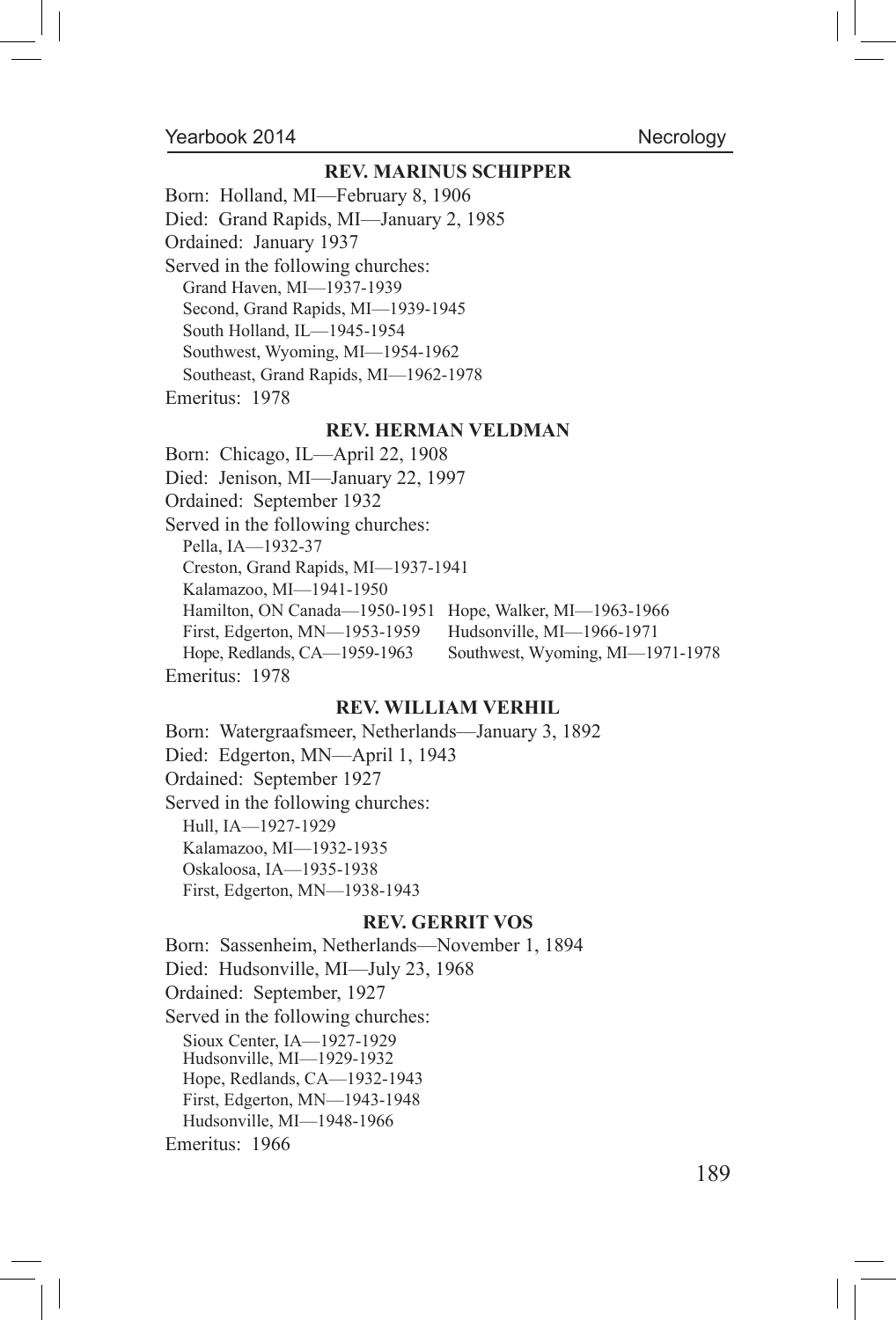### Necrology

#### **REV. MARINUS SCHIPPER**

Born: Holland, MI—February 8, 1906

Died: Grand Rapids, MI—January 2, 1985

Ordained: January 1937

Served in the following churches:

Grand Haven, MI—1937-1939

Second, Grand Rapids, MI—1939-1945

South Holland, IL—1945-1954

Southwest, Wyoming, MI—1954-1962

Southeast, Grand Rapids, MI—1962-1978

Emeritus: 1978

#### **REV. HERMAN VELDMAN**

Born: Chicago, IL—April 22, 1908 Died: Jenison, MI—January 22, 1997 Ordained: September 1932 Served in the following churches: Pella, IA—1932-37 Creston, Grand Rapids, MI—1937-1941 Kalamazoo, MI—1941-1950 Hamilton, ON Canada—1950-1951 Hope, Walker, MI—1963-1966 First, Edgerton, MN—1953-1959 Hudsonville, MI—1966-1971 Hope, Redlands, CA—1959-1963 Southwest, Wyoming, MI—1971-1978 Emeritus: 1978

#### **REV. WILLIAM VERHIL**

Born: Watergraafsmeer, Netherlands—January 3, 1892 Died: Edgerton, MN—April 1, 1943 Ordained: September 1927 Served in the following churches: Hull, IA—1927-1929 Kalamazoo, MI—1932-1935 Oskaloosa, IA—1935-1938 First, Edgerton, MN—1938-1943

#### **REV. GERRIT VOS**

Born: Sassenheim, Netherlands—November 1, 1894 Died: Hudsonville, MI—July 23, 1968 Ordained: September, 1927 Served in the following churches: Sioux Center, IA—1927-1929 Hudsonville, MI—1929-1932 Hope, Redlands, CA—1932-1943 First, Edgerton, MN—1943-1948 Hudsonville, MI—1948-1966 Emeritus: 1966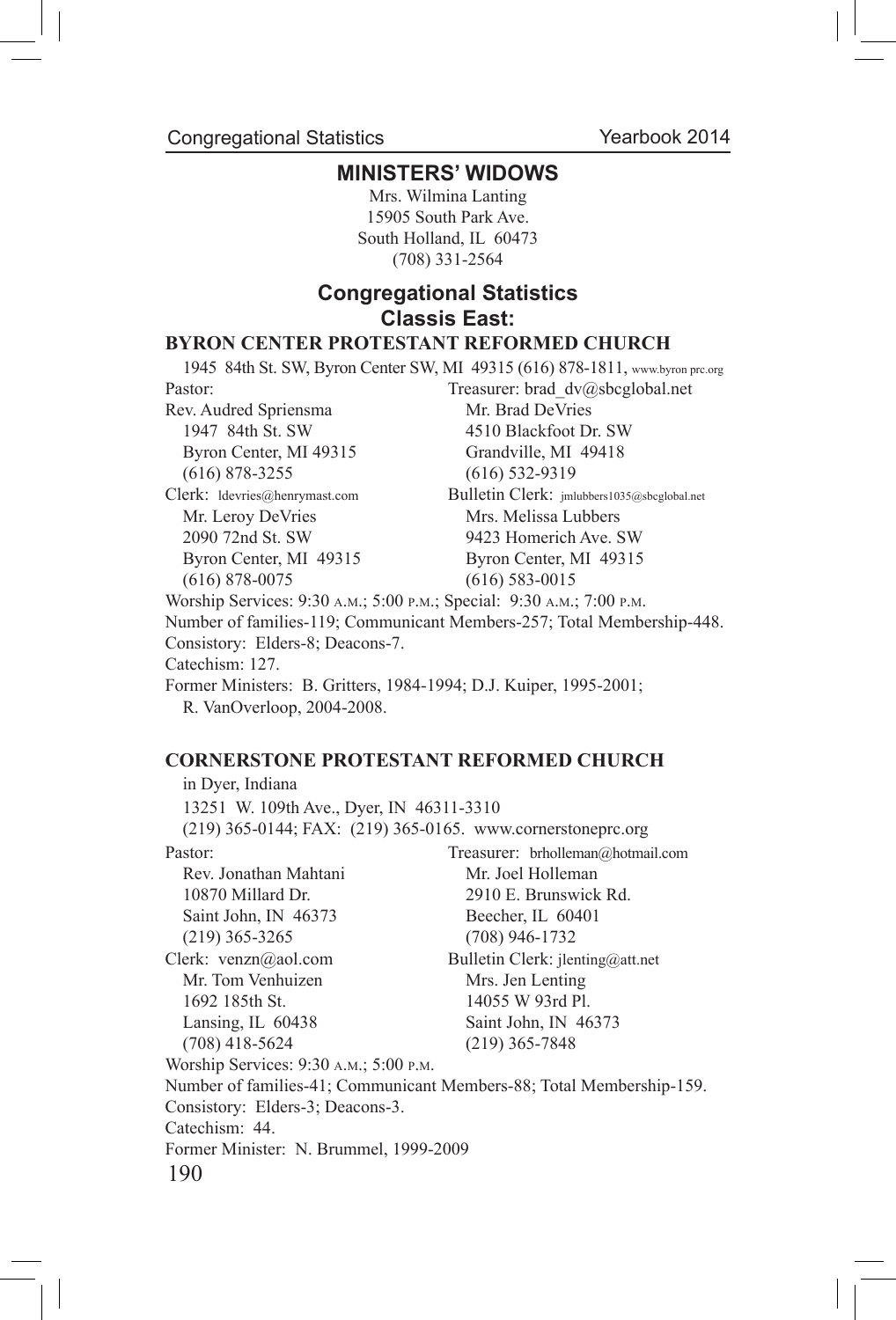Congregational Statistics

# **MINISTERS' WIDOWS**

Mrs. Wilmina Lanting 15905 South Park Ave. South Holland, IL 60473 (708) 331-2564

# **Congregational Statistics Classis East:**

## **BYRON CENTER PROTESTANT REFORMED CHURCH**

1945 84th St. SW, Byron Center SW, MI 49315 (616) 878-1811, www.byron prc.org Pastor: Treasurer: brad dv@sbcglobal.net Rev. Audred Spriensma<br>Mr. Brad DeVries 1947 84th St. SW 4510 Blackfoot Dr. SW Byron Center, MI 49315 Grandville, MI 49418 (616) 878-3255 (616) 532-9319 Clerk: ldevries@henrymast.com Bulletin Clerk: jmlubbers1035@sbcglobal.net Mr. Leroy DeVries Mrs. Melissa Lubbers 2090 72nd St. SW 9423 Homerich Ave. SW Byron Center, MI 49315 Byron Center, MI 49315 (616) 878-0075 (616) 583-0015 Worship Services: 9:30 a.m.; 5:00 p.m.; Special: 9:30 a.m.; 7:00 p.m. Number of families-119; Communicant Members-257; Total Membership-448. Consistory: Elders-8; Deacons-7. Catechism: 127. Former Ministers: B. Gritters, 1984-1994; D.J. Kuiper, 1995-2001; R. VanOverloop, 2004-2008.

#### **CORNERSTONE PROTESTANT REFORMED CHURCH**

190 in Dyer, Indiana 13251 W. 109th Ave., Dyer, IN 46311-3310 (219) 365-0144; FAX: (219) 365-0165. www.cornerstoneprc.org Pastor: Treasurer: brholleman@hotmail.com Rev. Jonathan Mahtani Mr. Joel Holleman 10870 Millard Dr. 2910 E. Brunswick Rd. Saint John, IN 46373 Beecher, IL 60401 (219) 365-3265 (708) 946-1732 Clerk: venzn@aol.com Bulletin Clerk: jlenting@att.net Mr. Tom Venhuizen Mrs. Jen Lenting 1692 185th St. 14055 W 93rd Pl. Lansing, IL 60438 Saint John, IN 46373 (708) 418-5624 (219) 365-7848 Worship Services: 9:30 a.m.; 5:00 p.m. Number of families-41; Communicant Members-88; Total Membership-159. Consistory: Elders-3; Deacons-3. Catechism: 44. Former Minister: N. Brummel, 1999-2009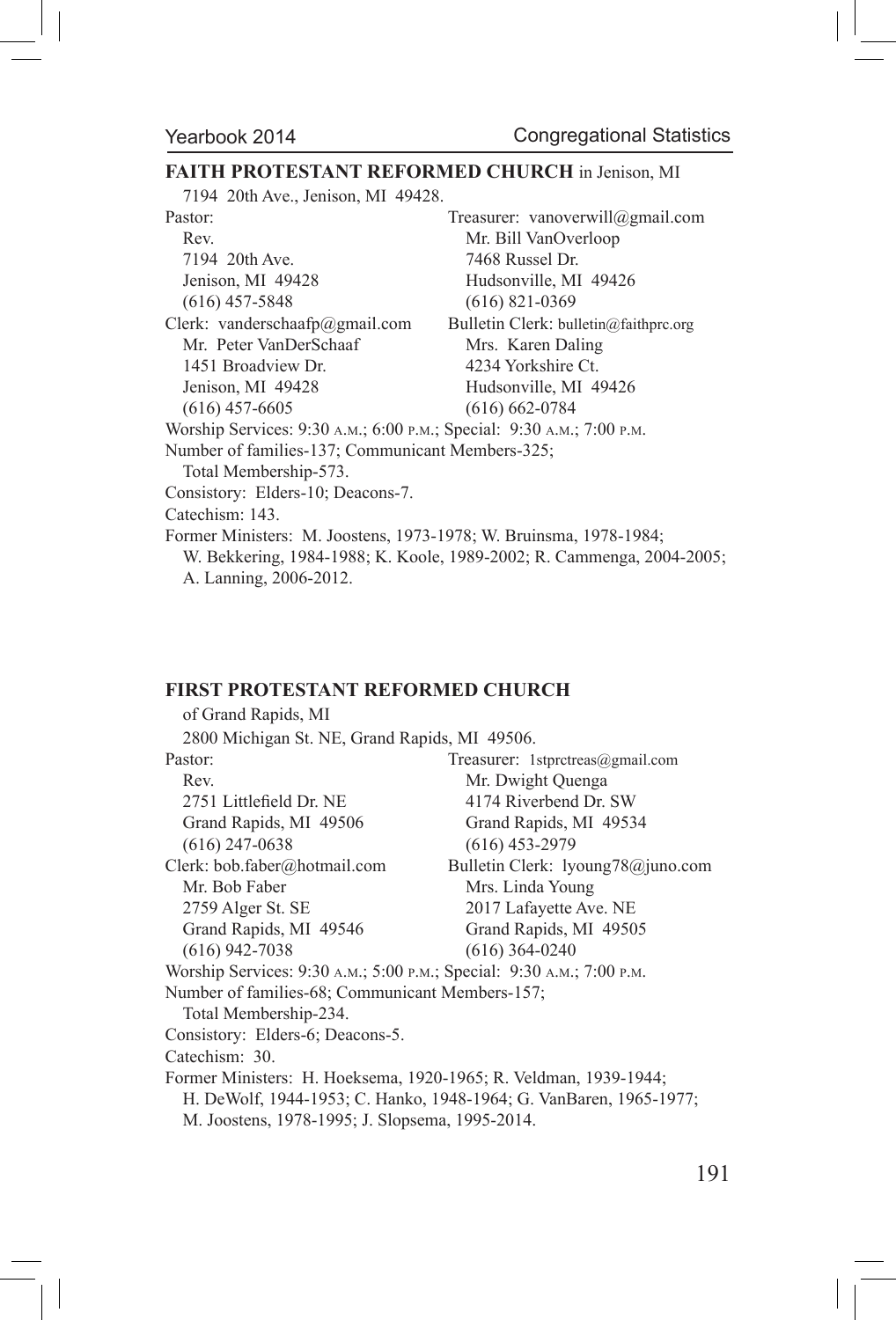# **FAITH PROTESTANT REFORMED CHURCH** in Jenison, MI

7194 20th Ave., Jenison, MI 49428.

| Pastor:                                                               | Treasurer: vanoverwill@gmail.com                                      |
|-----------------------------------------------------------------------|-----------------------------------------------------------------------|
| Rev.                                                                  | Mr. Bill VanOverloop                                                  |
| 7194 20th Ave.                                                        | 7468 Russel Dr.                                                       |
| Jenison, MI 49428                                                     | Hudsonville, MI 49426                                                 |
| $(616)$ 457-5848                                                      | $(616)$ 821-0369                                                      |
| Clerk: vanderschaafp@gmail.com                                        | Bulletin Clerk: bulletin@faithprc.org                                 |
| Mr. Peter VanDerSchaaf                                                | Mrs. Karen Daling                                                     |
| 1451 Broadview Dr.                                                    | 4234 Yorkshire Ct.                                                    |
| Jenison, MI 49428                                                     | Hudsonville, MI 49426                                                 |
| $(616)$ 457-6605                                                      | $(616) 662 - 0784$                                                    |
| Worship Services: 9:30 A.M.; 6:00 P.M.; Special: 9:30 A.M.; 7:00 P.M. |                                                                       |
| Number of families-137; Communicant Members-325;                      |                                                                       |
| Total Membership-573.                                                 |                                                                       |
| Consistory: Elders-10; Deacons-7.                                     |                                                                       |
| Catechism: 143.                                                       |                                                                       |
| Former Ministers: M. Joostens, 1973-1978; W. Bruinsma, 1978-1984;     |                                                                       |
|                                                                       | W. Bekkering, 1984-1988; K. Koole, 1989-2002; R. Cammenga, 2004-2005; |
| A. Lanning, 2006-2012.                                                |                                                                       |

# **FIRST PROTESTANT REFORMED CHURCH**

| of Grand Rapids, MI                                                   |                                   |
|-----------------------------------------------------------------------|-----------------------------------|
| 2800 Michigan St. NE, Grand Rapids, MI 49506.                         |                                   |
| Pastor:                                                               | Treasurer: 1stprctreas@gmail.com  |
| Rev.                                                                  | Mr. Dwight Quenga                 |
| 2751 Littlefield Dr. NE                                               | 4174 Riverbend Dr. SW             |
| Grand Rapids, MI 49506                                                | Grand Rapids, MI 49534            |
| $(616)$ 247-0638                                                      | $(616)$ 453-2979                  |
| Clerk: bob.faber@hotmail.com                                          | Bulletin Clerk: lyoung78@juno.com |
| Mr. Bob Faber                                                         | Mrs. Linda Young                  |
| 2759 Alger St. SE                                                     | 2017 Lafayette Ave. NE            |
| Grand Rapids, MI 49546                                                | Grand Rapids, MI 49505            |
| $(616)$ 942-7038                                                      | $(616)$ 364-0240                  |
| Worship Services: 9:30 A.M.; 5:00 P.M.; Special: 9:30 A.M.; 7:00 P.M. |                                   |
| Number of families-68; Communicant Members-157;                       |                                   |
| Total Membership-234.                                                 |                                   |
| Consistory: Elders-6; Deacons-5.                                      |                                   |
| Catechism: 30.                                                        |                                   |
| Former Ministers: H. Hoeksema, 1920-1965; R. Veldman, 1939-1944;      |                                   |
| H. DeWolf, 1944-1953; C. Hanko, 1948-1964; G. VanBaren, 1965-1977;    |                                   |
| M. Joostens, 1978-1995; J. Slopsema, 1995-2014.                       |                                   |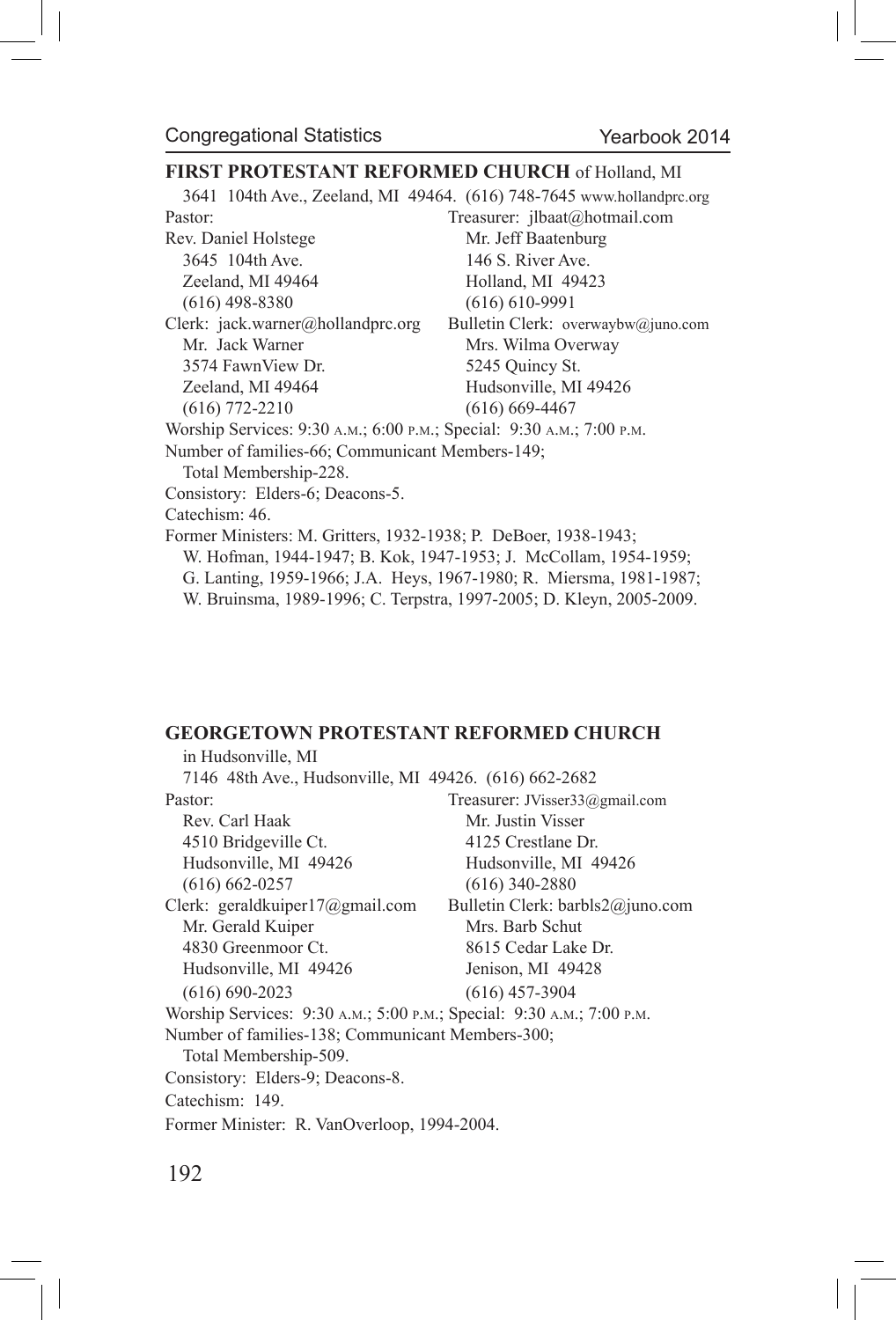#### **FIRST PROTESTANT REFORMED CHURCH** of Holland, MI

3641 104th Ave., Zeeland, MI 49464. (616) 748-7645 www.hollandprc.org

Pastor: Treasurer: jlbaat@hotmail.com Rev. Daniel Holstege Mr. Jeff Baatenburg 3645 104th Ave. 146 S. River Ave. Zeeland, MI 49464 Holland, MI 49423 (616) 498-8380 (616) 610-9991 Clerk: jack.warner@hollandprc.org Bulletin Clerk: overwaybw@juno.com Mr. Jack Warner Mrs. Wilma Overway 3574 FawnView Dr. 5245 Quincy St. Zeeland, MI 49464 Hudsonville, MI 49426 (616) 772-2210 (616) 669-4467 Worship Services: 9:30 a.m.; 6:00 p.m.; Special: 9:30 a.m.; 7:00 p.m. Number of families-66; Communicant Members-149; Total Membership-228. Consistory: Elders-6; Deacons-5. Catechism: 46. Former Ministers: M. Gritters, 1932-1938; P. DeBoer, 1938-1943; W. Hofman, 1944-1947; B. Kok, 1947-1953; J. McCollam, 1954-1959; G. Lanting, 1959-1966; J.A. Heys, 1967-1980; R. Miersma, 1981-1987;

W. Bruinsma, 1989-1996; C. Terpstra, 1997-2005; D. Kleyn, 2005-2009.

#### **GEORGETOWN PROTESTANT REFORMED CHURCH**

in Hudsonville, MI 7146 48th Ave., Hudsonville, MI 49426. (616) 662-2682 Pastor: Treasurer: JVisser33@gmail.com Rev. Carl Haak Mr. Justin Visser 4510 Bridgeville Ct. 4125 Crestlane Dr. Hudsonville, MI 49426 Hudsonville, MI 49426 (616) 662-0257 (616) 340-2880 Clerk: geraldkuiper17@gmail.com Bulletin Clerk: barbls2@juno.com Mr. Gerald Kuiper Mrs. Barb Schut 4830 Greenmoor Ct. 8615 Cedar Lake Dr. Hudsonville, MI 49426 Jenison, MI 49428 (616) 690-2023 (616) 457-3904 Worship Services: 9:30 a.m.; 5:00 p.m.; Special: 9:30 a.m.; 7:00 p.m. Number of families-138; Communicant Members-300; Total Membership-509. Consistory: Elders-9; Deacons-8. Catechism: 149. Former Minister: R. VanOverloop, 1994-2004.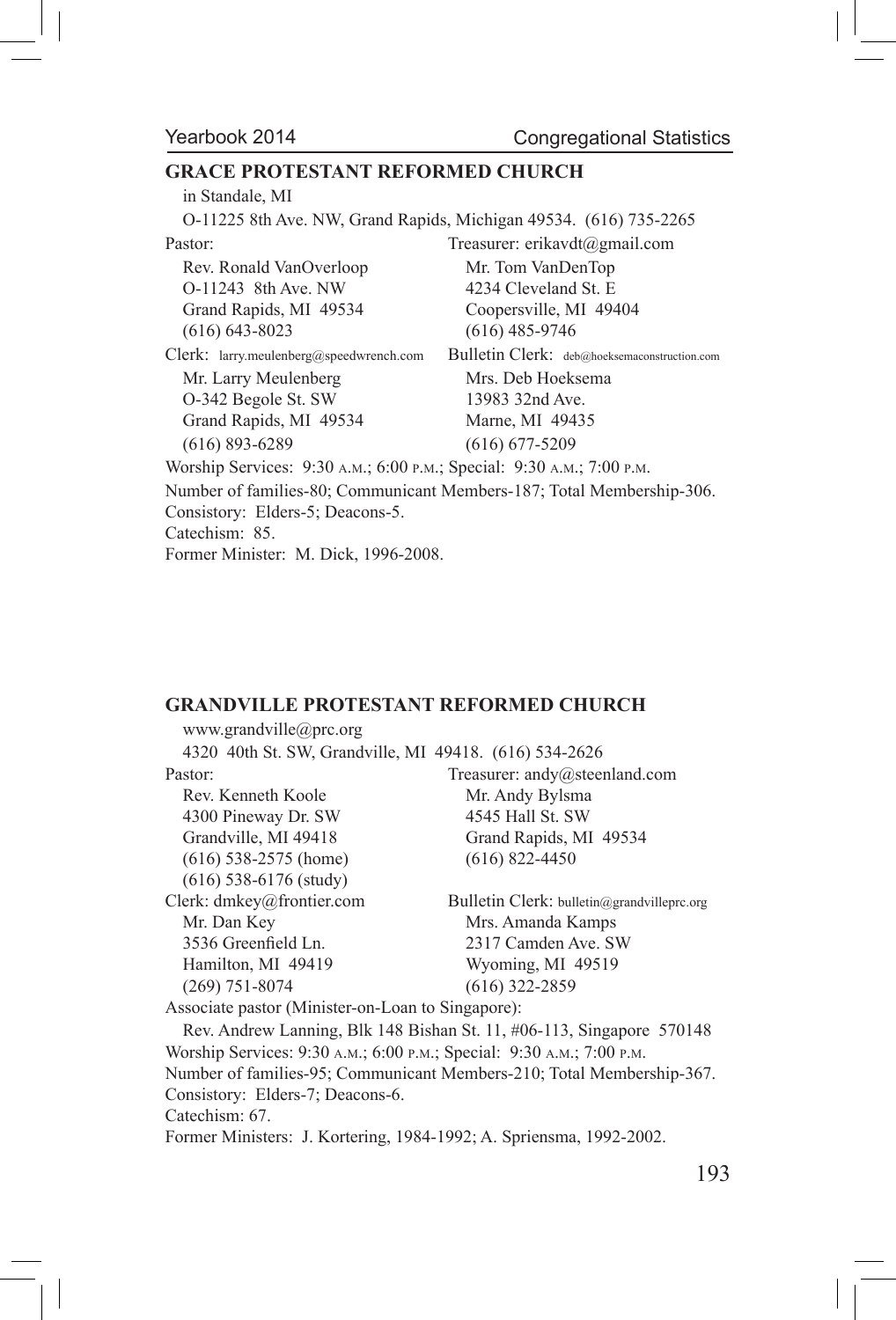# **GRACE PROTESTANT REFORMED CHURCH**

| in Standale, MI                                                       |                                                                       |
|-----------------------------------------------------------------------|-----------------------------------------------------------------------|
| O-11225 8th Ave. NW, Grand Rapids, Michigan 49534. (616) 735-2265     |                                                                       |
| Pastor:                                                               | Treasurer: erikavdt@gmail.com                                         |
| Rev. Ronald VanOverloop                                               | Mr. Tom VanDenTop                                                     |
| O-11243 8th Ave. NW                                                   | 4234 Cleveland St. E                                                  |
| Grand Rapids, MI 49534                                                | Coopersville, MI 49404                                                |
| $(616)$ 643-8023                                                      | $(616)$ 485-9746                                                      |
| Clerk: larry.meulenberg@speedwrench.com                               | Bulletin Clerk: deb@hoeksemaconstruction.com                          |
| Mr. Larry Meulenberg                                                  | Mrs. Deb Hoeksema                                                     |
| O-342 Begole St. SW                                                   | 13983 32nd Ave.                                                       |
| Grand Rapids, MI 49534                                                | Marne, MI 49435                                                       |
| $(616)$ 893-6289                                                      | $(616)$ 677-5209                                                      |
| Worship Services: 9:30 A.M.; 6:00 P.M.; Special: 9:30 A.M.; 7:00 P.M. |                                                                       |
|                                                                       | Number of families-80; Communicant Members-187; Total Membership-306. |
| Consistory: Elders-5; Deacons-5.                                      |                                                                       |
| Catechism: 85.                                                        |                                                                       |
| Former Minister: M. Dick, 1996-2008.                                  |                                                                       |

#### **GRANDVILLE PROTESTANT REFORMED CHURCH**

| www.grandville@prc.org                                                |                                                                       |
|-----------------------------------------------------------------------|-----------------------------------------------------------------------|
| 4320 40th St. SW, Grandville, MI 49418. (616) 534-2626                |                                                                       |
| Pastor:                                                               | Treasurer: andy@steenland.com                                         |
| Rev. Kenneth Koole                                                    | Mr. Andy Bylsma                                                       |
| 4300 Pineway Dr. SW                                                   | 4545 Hall St. SW                                                      |
| Grandville, MI 49418                                                  | Grand Rapids, MI 49534                                                |
| $(616)$ 538-2575 (home)                                               | $(616)$ 822-4450                                                      |
| $(616)$ 538-6176 (study)                                              |                                                                       |
| Clerk: $dmkey@$ frontier.com                                          | Bulletin Clerk: bulletin@grandvilleprc.org                            |
| Mr. Dan Key                                                           | Mrs. Amanda Kamps                                                     |
| 3536 Greenfield Ln.                                                   | 2317 Camden Ave. SW                                                   |
| Hamilton, MI 49419                                                    | Wyoming, MI 49519                                                     |
| $(269)$ 751-8074                                                      | $(616)$ 322-2859                                                      |
| Associate pastor (Minister-on-Loan to Singapore):                     |                                                                       |
|                                                                       | Rev. Andrew Lanning, Blk 148 Bishan St. 11, #06-113, Singapore 570148 |
| Worship Services: 9:30 A.M.; 6:00 P.M.; Special: 9:30 A.M.; 7:00 P.M. |                                                                       |
|                                                                       | Number of families-95; Communicant Members-210; Total Membership-367. |
| Consistory: Elders-7; Deacons-6.                                      |                                                                       |
| Catechism: 67.                                                        |                                                                       |
| Former Ministers: J. Kortering, 1984-1992; A. Spriensma, 1992-2002.   |                                                                       |
|                                                                       |                                                                       |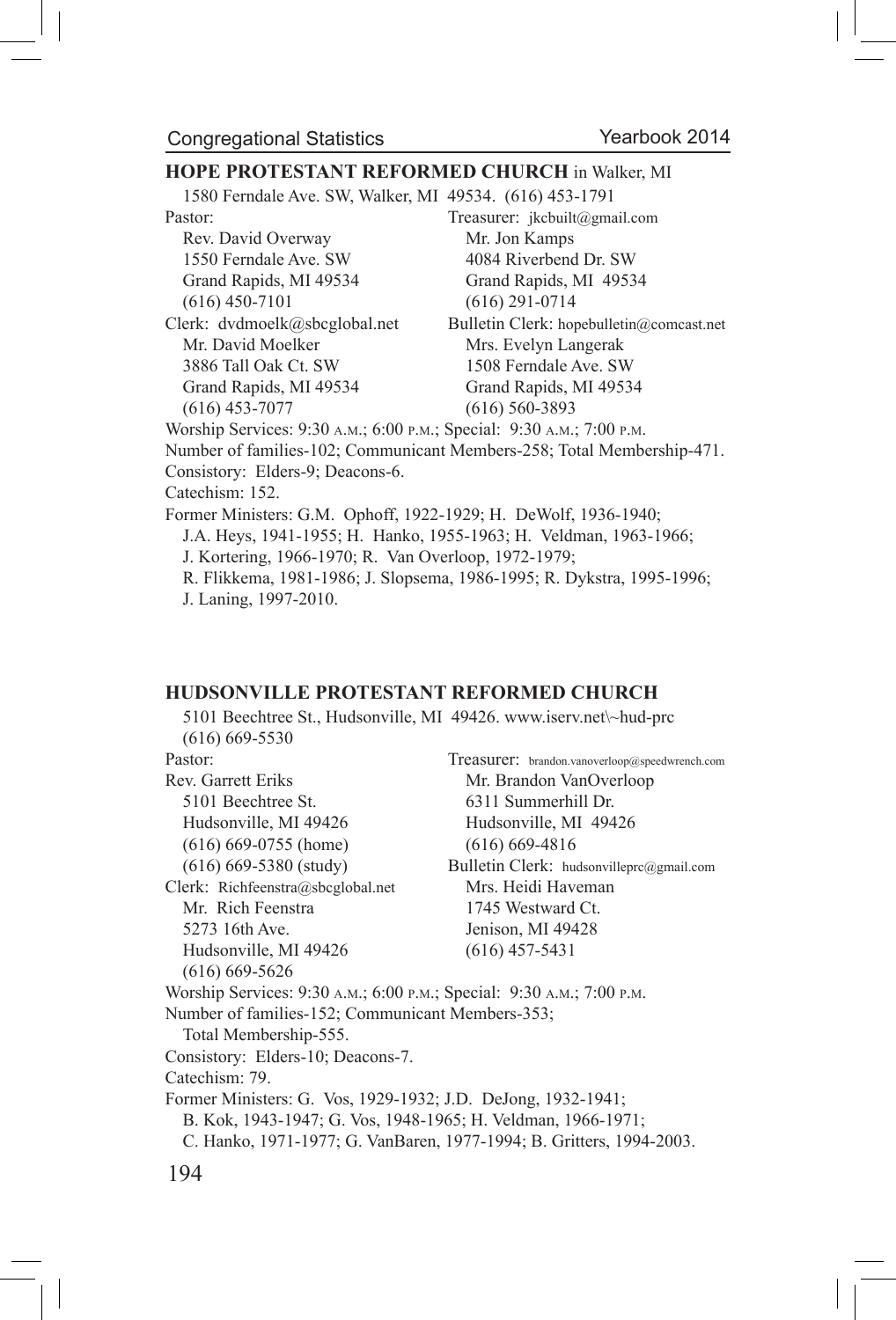#### **HOPE PROTESTANT REFORMED CHURCH** in Walker, MI

1580 Ferndale Ave. SW, Walker, MI 49534. (616) 453-1791

Rev. David Overway Mr. Jon Kamps

Mr. David Moelker Mrs. Evelyn Langerak 3886 Tall Oak Ct. SW 1508 Ferndale Ave. SW Grand Rapids, MI 49534 Grand Rapids, MI 49534 (616) 453-7077 (616) 560-3893

Pastor: Treasurer: jkcbuilt@gmail.com 1550 Ferndale Ave. SW 4084 Riverbend Dr. SW Grand Rapids, MI 49534 Grand Rapids, MI 49534 (616) 450-7101 (616) 291-0714 Clerk: dvdmoelk@sbcglobal.net Bulletin Clerk: hopebulletin@comcast.net

Worship Services: 9:30 a.m.; 6:00 p.m.; Special: 9:30 a.m.; 7:00 p.m.

Number of families-102; Communicant Members-258; Total Membership-471. Consistory: Elders-9; Deacons-6.

Catechism: 152.

Former Ministers: G.M. Ophoff, 1922-1929; H. DeWolf, 1936-1940; J.A. Heys, 1941-1955; H. Hanko, 1955-1963; H. Veldman, 1963-1966; J. Kortering, 1966-1970; R. Van Overloop, 1972-1979;

R. Flikkema, 1981-1986; J. Slopsema, 1986-1995; R. Dykstra, 1995-1996; J. Laning, 1997-2010.

#### **HUDSONVILLE PROTESTANT REFORMED CHURCH**

5101 Beechtree St., Hudsonville, MI 49426. www.iserv.net\~hud-prc (616) 669-5530 Pastor: Treasurer: brandon.vanoverloop@speedwrench.com Rev. Garrett Eriks Mr. Brandon VanOverloop 5101 Beechtree St. 6311 Summerhill Dr. Hudsonville, MI 49426 Hudsonville, MI 49426 (616) 669-0755 (home) (616) 669-4816 (616) 669-5380 (study) Bulletin Clerk: hudsonvilleprc@gmail.com Clerk: Richfeenstra@sbcglobal.net Mrs. Heidi Haveman Mr. Rich Feenstra 1745 Westward Ct. 5273 16th Ave. Jenison, MI 49428 Hudsonville, MI 49426 (616) 457-5431 (616) 669-5626 Worship Services: 9:30 a.m.; 6:00 p.m.; Special: 9:30 a.m.; 7:00 p.m. Number of families-152; Communicant Members-353; Total Membership-555. Consistory: Elders-10; Deacons-7. Catechism: 79. Former Ministers: G. Vos, 1929-1932; J.D. DeJong, 1932-1941; B. Kok, 1943-1947; G. Vos, 1948-1965; H. Veldman, 1966-1971; C. Hanko, 1971-1977; G. VanBaren, 1977-1994; B. Gritters, 1994-2003.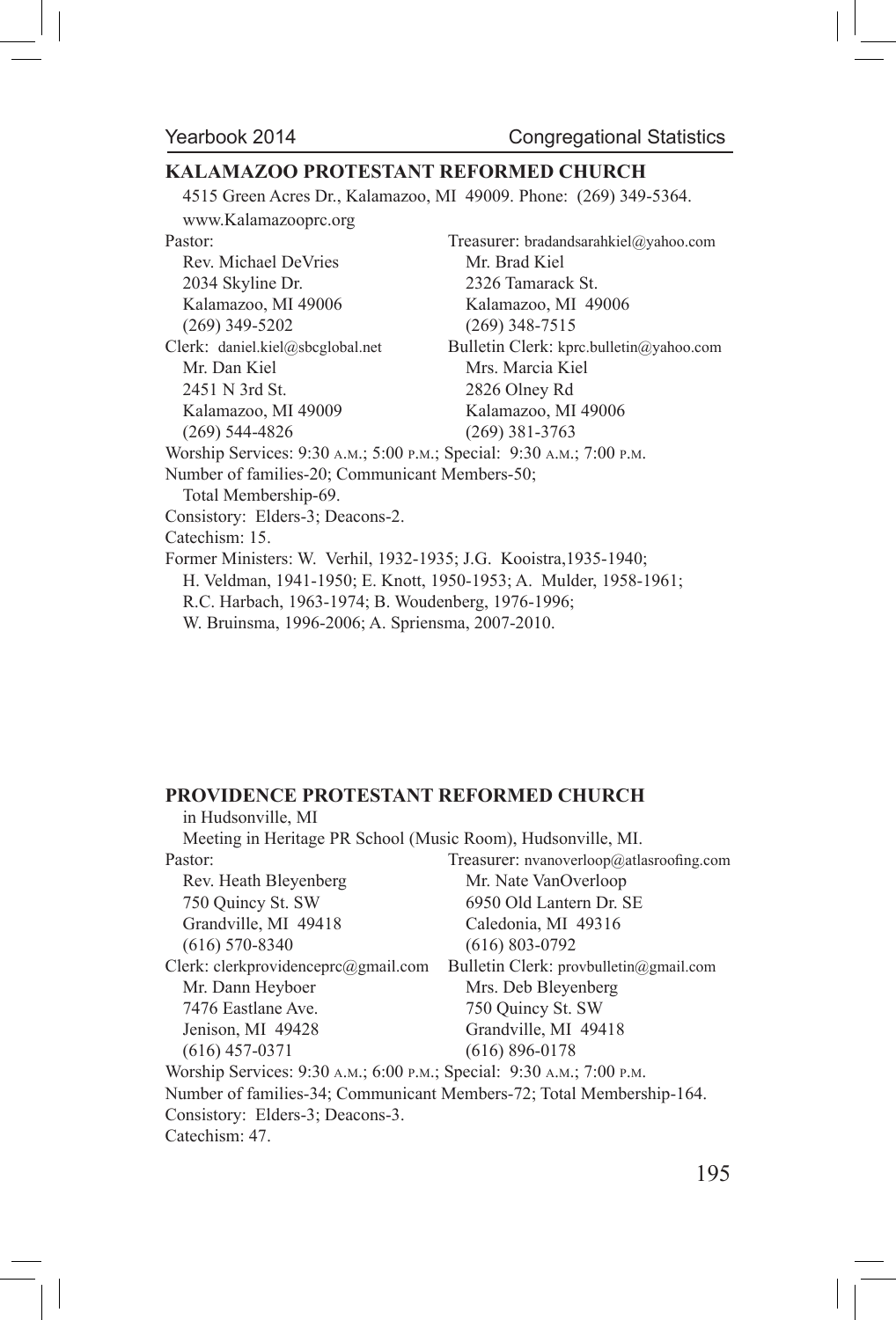# **KALAMAZOO PROTESTANT REFORMED CHURCH**

4515 Green Acres Dr., Kalamazoo, MI 49009. Phone: (269) 349-5364.

| www.Kalamazooprc.org                                                                                                                   |                                         |
|----------------------------------------------------------------------------------------------------------------------------------------|-----------------------------------------|
| Pastor:                                                                                                                                | Treasurer: bradandsarahkiel@yahoo.com   |
| Rev. Michael DeVries                                                                                                                   | Mr. Brad Kiel                           |
| 2034 Skyline Dr.                                                                                                                       | 2326 Tamarack St.                       |
| Kalamazoo, MI 49006                                                                                                                    | Kalamazoo, MI 49006                     |
| $(269)$ 349-5202                                                                                                                       | $(269)$ 348-7515                        |
| Clerk: daniel.kiel@sbcglobal.net                                                                                                       | Bulletin Clerk: kprc.bulletin@yahoo.com |
| Mr. Dan Kiel                                                                                                                           | Mrs Marcia Kiel                         |
| $2451$ N 3rd St.                                                                                                                       | 2826 Olney Rd                           |
| Kalamazoo, MI 49009                                                                                                                    | Kalamazoo, MI 49006                     |
| $(269)$ 544-4826                                                                                                                       | $(269)$ 381-3763                        |
| Worship Services: 9:30 A.M.; 5:00 P.M.; Special: 9:30 A.M.; 7:00 P.M.                                                                  |                                         |
| Number of families-20; Communicant Members-50;                                                                                         |                                         |
| Total Membership-69.                                                                                                                   |                                         |
| Consistory: Elders-3; Deacons-2.                                                                                                       |                                         |
| Catechism: 15.                                                                                                                         |                                         |
| Former Ministers: W. Verhil, 1932-1935; J.G. Kooistra, 1935-1940;<br>H. Veldman, 1941-1950; E. Knott, 1950-1953; A. Mulder, 1958-1961; |                                         |
| R.C. Harbach, 1963-1974; B. Woudenberg, 1976-1996;                                                                                     |                                         |
| W. Bruinsma, 1996-2006; A. Spriensma, 2007-2010.                                                                                       |                                         |
|                                                                                                                                        |                                         |

#### **PROVIDENCE PROTESTANT REFORMED CHURCH**

| Meeting in Heritage PR School (Music Room), Hudsonville, MI.          |
|-----------------------------------------------------------------------|
| Treasurer: nvanoverloop@atlasroofing.com                              |
| Mr. Nate VanOverloop                                                  |
| 6950 Old Lantern Dr. SE                                               |
| Caledonia, MI 49316                                                   |
| $(616) 803 - 0792$                                                    |
| Bulletin Clerk: provbulletin@gmail.com                                |
| Mrs. Deb Bleyenberg                                                   |
| 750 Ouincy St. SW                                                     |
| Grandville, MI 49418                                                  |
| $(616) 896 - 0178$                                                    |
| Worship Services: 9:30 A.M.; 6:00 P.M.; Special: 9:30 A.M.; 7:00 P.M. |
| Number of families-34; Communicant Members-72; Total Membership-164.  |
|                                                                       |
|                                                                       |
|                                                                       |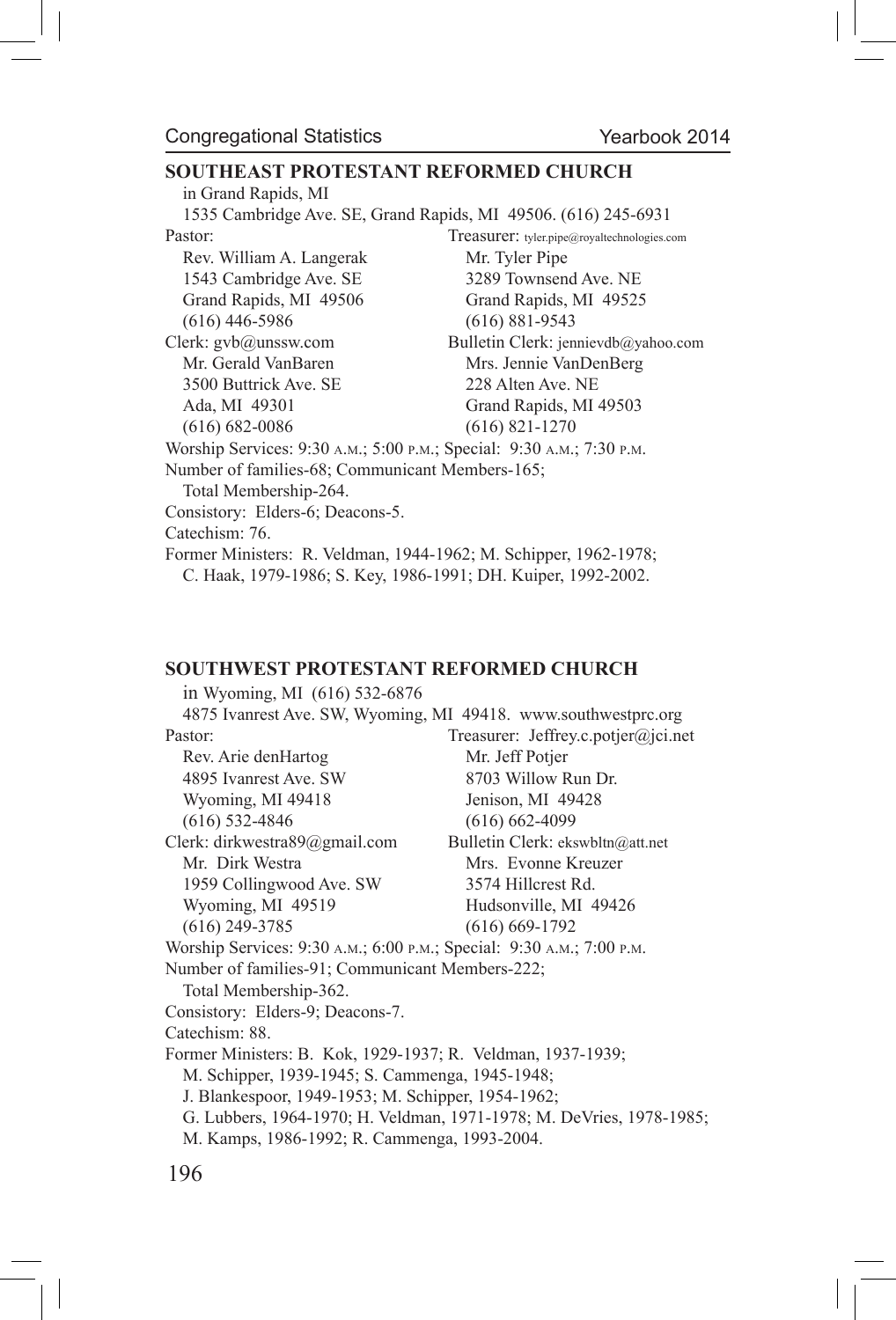#### **SOUTHEAST PROTESTANT REFORMED CHURCH**

in Grand Rapids, MI 1535 Cambridge Ave. SE, Grand Rapids, MI 49506. (616) 245-6931 Pastor: Treasurer: tyler.pipe@royaltechnologies.com Rev. William A. Langerak Mr. Tyler Pipe 1543 Cambridge Ave. SE 3289 Townsend Ave. NE Grand Rapids, MI 49506 Grand Rapids, MI 49525 (616) 446-5986 (616) 881-9543 Clerk: gvb@unssw.com Bulletin Clerk: jennievdb@yahoo.com Mr. Gerald VanBaren Mrs. Jennie VanDenBerg 3500 Buttrick Ave. SE 228 Alten Ave. NE Ada, MI 49301 Grand Rapids, MI 49503 (616) 682-0086 (616) 821-1270 Worship Services: 9:30 a.m.; 5:00 p.m.; Special: 9:30 a.m.; 7:30 p.m. Number of families-68; Communicant Members-165; Total Membership-264. Consistory: Elders-6; Deacons-5. Catechism: 76. Former Ministers: R. Veldman, 1944-1962; M. Schipper, 1962-1978; C. Haak, 1979-1986; S. Key, 1986-1991; DH. Kuiper, 1992-2002.

#### **SOUTHWEST PROTESTANT REFORMED CHURCH**

in Wyoming, MI (616) 532-6876 4875 Ivanrest Ave. SW, Wyoming, MI 49418. www.southwestprc.org Pastor: Treasurer: Jeffrey.c.potjer@jci.net Rev. Arie denHartog Mr. Jeff Potjer 4895 Ivanrest Ave. SW 8703 Willow Run Dr. Wyoming, MI 49418 Jenison, MI 49428 (616) 532-4846 (616) 662-4099 Clerk: dirkwestra89@gmail.com Bulletin Clerk: ekswbltn@att.net Mr. Dirk Westra Mrs. Evonne Kreuzer 1959 Collingwood Ave. SW 3574 Hillcrest Rd. Wyoming, MI 49519 Hudsonville, MI 49426 (616) 249-3785 (616) 669-1792 Worship Services: 9:30 a.m.; 6:00 p.m.; Special: 9:30 a.m.; 7:00 p.m. Number of families-91; Communicant Members-222; Total Membership-362. Consistory: Elders-9; Deacons-7. Catechism: 88. Former Ministers: B. Kok, 1929-1937; R. Veldman, 1937-1939; M. Schipper, 1939-1945; S. Cammenga, 1945-1948; J. Blankespoor, 1949-1953; M. Schipper, 1954-1962; G. Lubbers, 1964-1970; H. Veldman, 1971-1978; M. DeVries, 1978-1985; M. Kamps, 1986-1992; R. Cammenga, 1993-2004.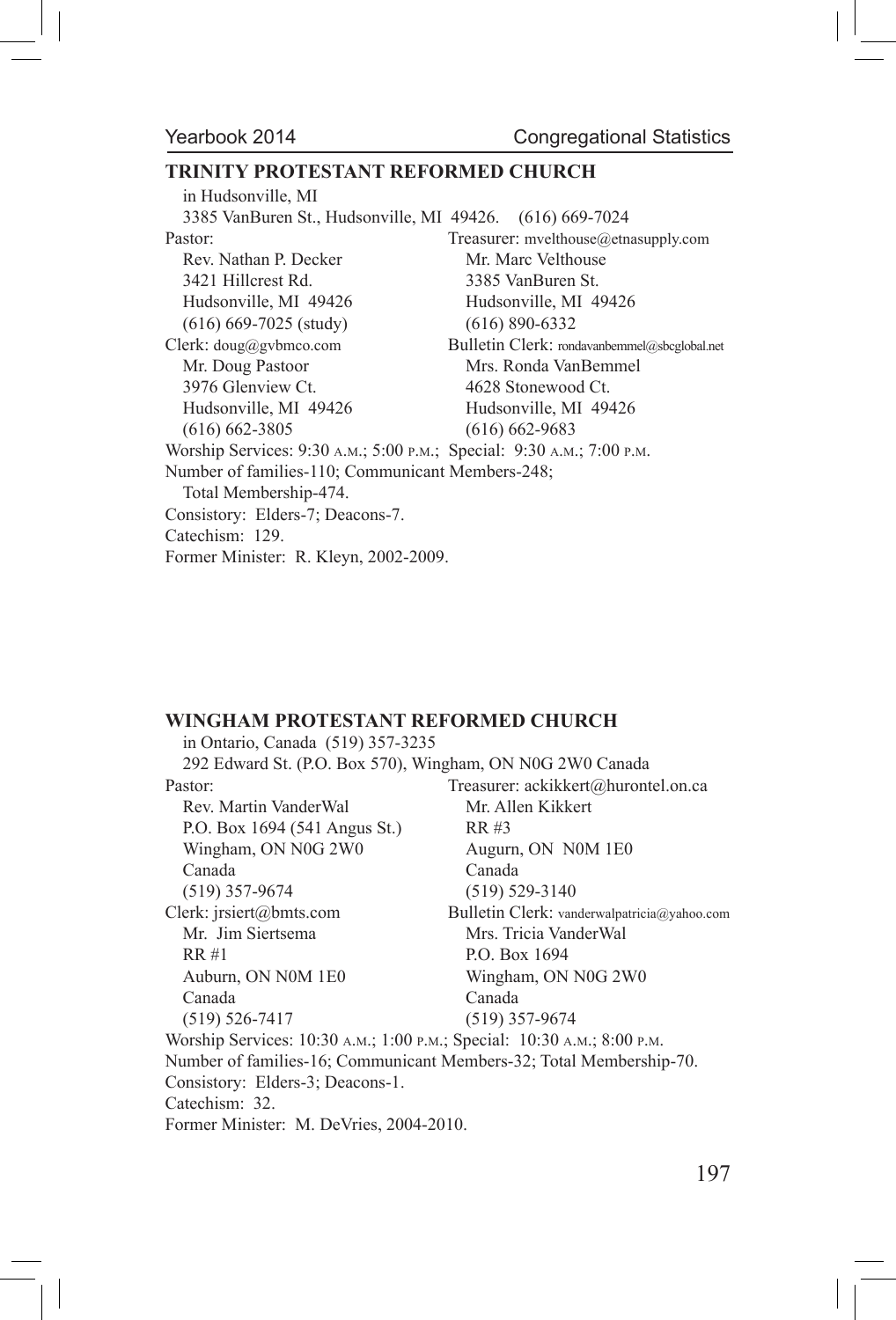#### **TRINITY PROTESTANT REFORMED CHURCH**

in Hudsonville, MI 3385 VanBuren St., Hudsonville, MI 49426. (616) 669-7024 Pastor: Treasurer: mvelthouse@etnasupply.com Rev. Nathan P. Decker Mr. Marc Velthouse 3421 Hillcrest Rd. 3385 VanBuren St. Hudsonville, MI 49426 Hudsonville, MI 49426 (616) 669-7025 (study) (616) 890-6332 Clerk: doug@gvbmco.com Bulletin Clerk: rondavanbemmel@sbcglobal.net Mr. Doug Pastoor Mrs. Ronda VanBemmel 3976 Glenview Ct. 4628 Stonewood Ct. Hudsonville, MI 49426 Hudsonville, MI 49426 (616) 662-3805 (616) 662-9683 Worship Services: 9:30 a.m.; 5:00 p.m.; Special: 9:30 a.m.; 7:00 p.m. Number of families-110; Communicant Members-248; Total Membership-474. Consistory: Elders-7; Deacons-7. Catechism: 129. Former Minister: R. Kleyn, 2002-2009.

#### **WINGHAM PROTESTANT REFORMED CHURCH**

| in Ontario, Canada (519) 357-3235                                       |                                                                     |
|-------------------------------------------------------------------------|---------------------------------------------------------------------|
| 292 Edward St. (P.O. Box 570), Wingham, ON N0G 2W0 Canada               |                                                                     |
| Pastor:                                                                 | Treasurer: ackikkert@hurontel.on.ca                                 |
| Rev. Martin VanderWal                                                   | Mr. Allen Kikkert                                                   |
| P.O. Box 1694 (541 Angus St.)                                           | RR #3                                                               |
| Wingham, ON N0G 2W0                                                     | Augurn, ON N0M 1E0                                                  |
| Canada                                                                  | Canada                                                              |
| $(519)$ 357-9674                                                        | $(519) 529 - 3140$                                                  |
| Clerk: jrsiert@bmts.com                                                 | Bulletin Clerk: vanderwalpatricia@yahoo.com                         |
| Mr. Jim Siertsema                                                       | Mrs. Tricia VanderWal                                               |
| RR#1                                                                    | P.O. Box 1694                                                       |
| Auburn, ON N0M 1E0                                                      | Wingham, ON N0G 2W0                                                 |
| Canada                                                                  | Canada                                                              |
| $(519) 526 - 7417$                                                      | $(519)$ 357-9674                                                    |
| Worship Services: 10:30 A.M.; 1:00 P.M.; Special: 10:30 A.M.; 8:00 P.M. |                                                                     |
|                                                                         | Number of families-16; Communicant Members-32; Total Membership-70. |
| Consistory: Elders-3; Deacons-1.                                        |                                                                     |
| Catechism: 32.                                                          |                                                                     |
| Former Minister: M. DeVries, 2004-2010.                                 |                                                                     |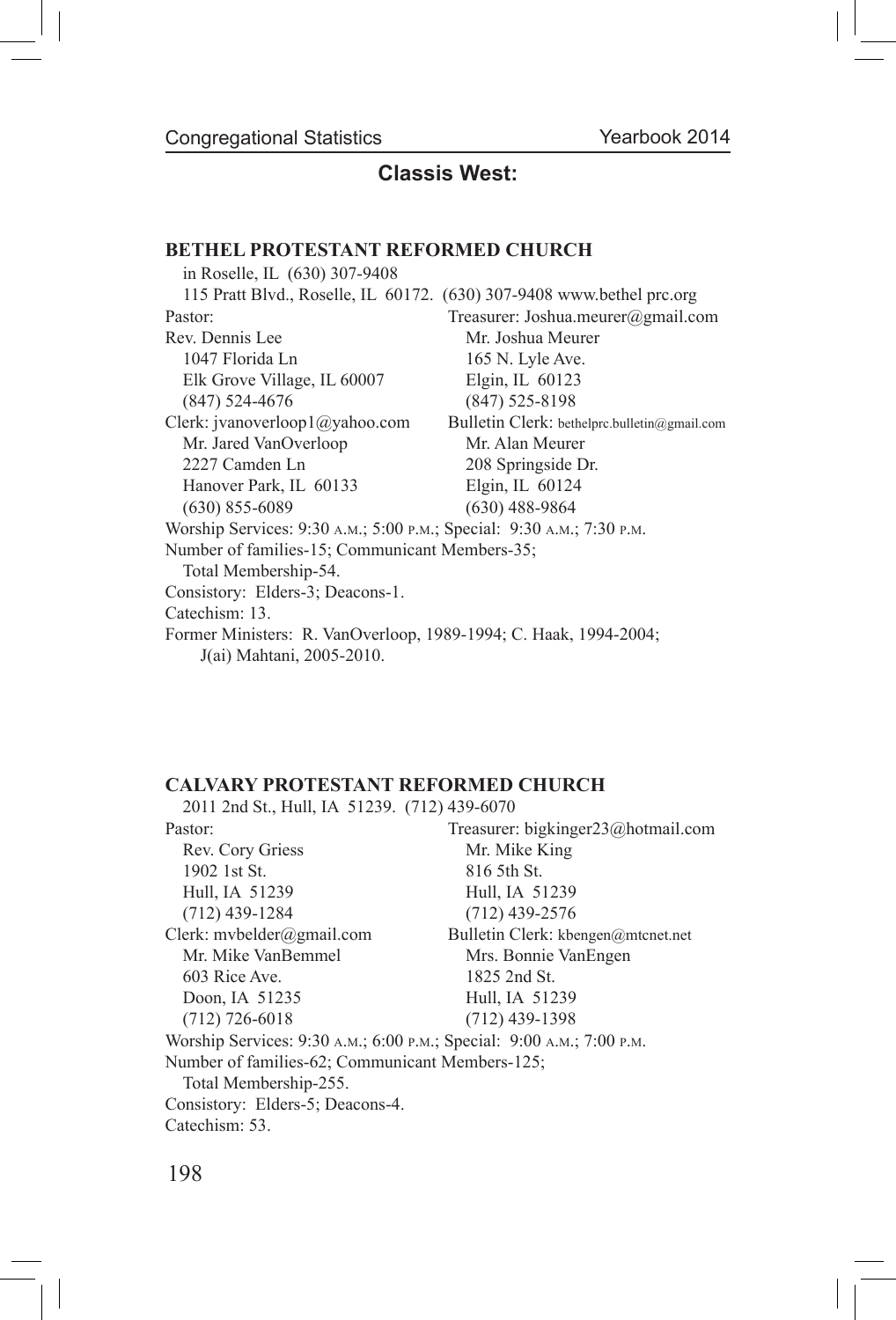### **Classis West:**

#### **BETHEL PROTESTANT REFORMED CHURCH**

| in Roselle, IL (630) 307-9408                                         |                                                                       |
|-----------------------------------------------------------------------|-----------------------------------------------------------------------|
|                                                                       | 115 Pratt Blvd., Roselle, IL 60172. (630) 307-9408 www.bethel prc.org |
| Pastor:                                                               | Treasurer: Joshua.meurer@gmail.com                                    |
| Rev Dennis Lee                                                        | Mr. Joshua Meurer                                                     |
| 1047 Florida Ln                                                       | 165 N. Lyle Ave.                                                      |
| Elk Grove Village, IL 60007                                           | Elgin, IL 60123                                                       |
| $(847)$ 524-4676                                                      | $(847)$ 525-8198                                                      |
| Clerk: jvanoverloop1@yahoo.com                                        | Bulletin Clerk: bethelprc.bulletin@gmail.com                          |
| Mr. Jared VanOverloop                                                 | Mr. Alan Meurer                                                       |
| 2227 Camden Ln                                                        | 208 Springside Dr.                                                    |
| Hanover Park, IL 60133                                                | Elgin, IL $60124$                                                     |
| $(630)$ 855-6089                                                      | $(630)$ 488-9864                                                      |
| Worship Services: 9:30 A.M.; 5:00 P.M.; Special: 9:30 A.M.; 7:30 P.M. |                                                                       |
| Number of families-15; Communicant Members-35;                        |                                                                       |
| Total Membership-54.                                                  |                                                                       |
| Consistory: Elders-3; Deacons-1.                                      |                                                                       |
| Catechism: 13.                                                        |                                                                       |
| Former Ministers: R. VanOverloop, 1989-1994; C. Haak, 1994-2004;      |                                                                       |
| J(ai) Mahtani, 2005-2010.                                             |                                                                       |

#### **CALVARY PROTESTANT REFORMED CHURCH**

2011 2nd St., Hull, IA 51239. (712) 439-6070 Pastor: Treasurer: bigkinger23@hotmail.com Rev. Cory Griess Mr. Mike King 1902 1st St. 816 5th St. Hull, IA 51239 Hull, IA 51239 (712) 439-1284 (712) 439-2576 Clerk: mvbelder@gmail.com Bulletin Clerk: kbengen@mtcnet.net Mr. Mike VanBemmel Mrs. Bonnie VanEngen 603 Rice Ave. 1825 2nd St. Doon, IA 51235 Hull, IA 51239 (712) 726-6018 (712) 439-1398 Worship Services: 9:30 a.m.; 6:00 p.m.; Special: 9:00 a.m.; 7:00 p.m. Number of families-62; Communicant Members-125; Total Membership-255. Consistory: Elders-5; Deacons-4. Catechism: 53.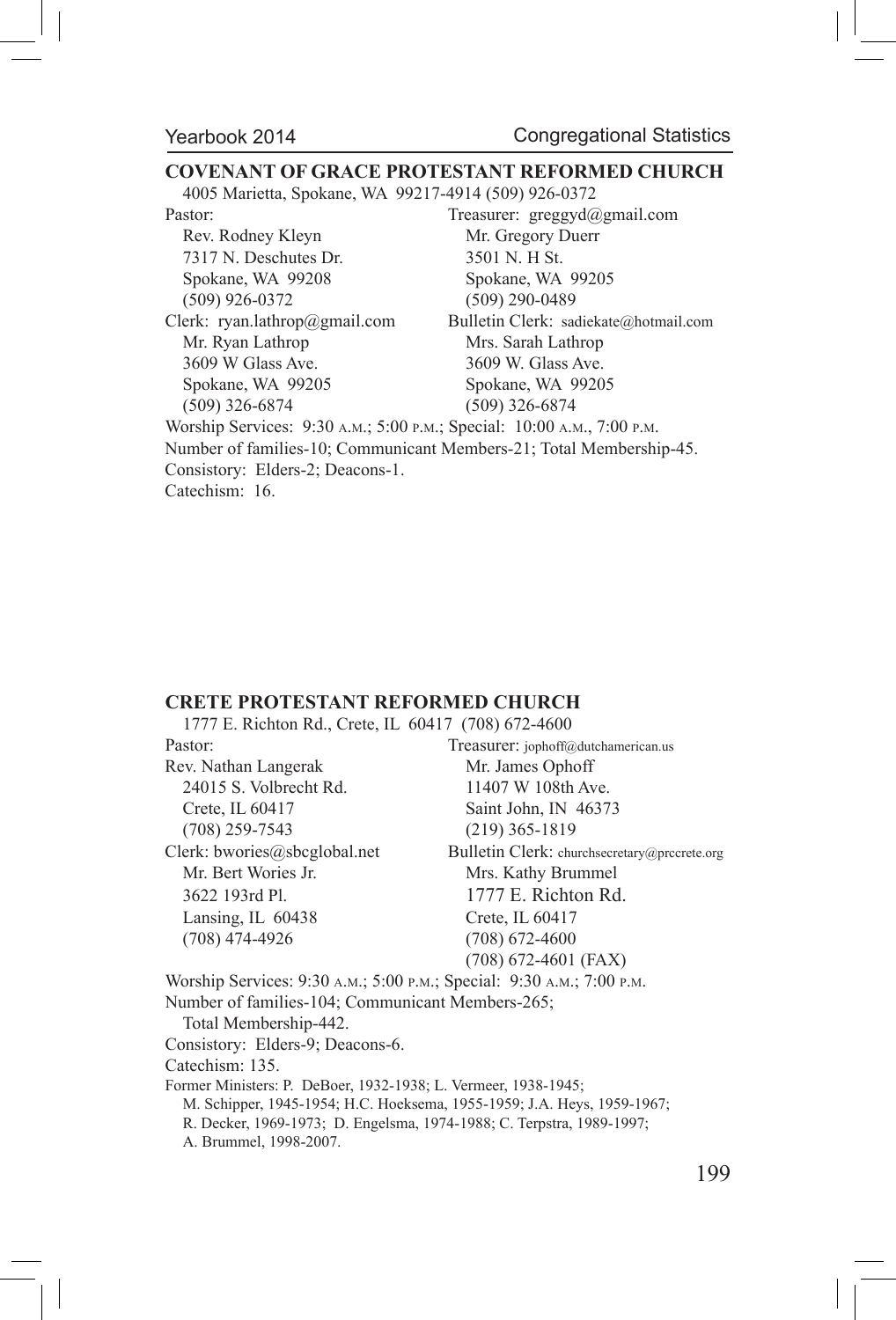#### **COVENANT OF GRACE PROTESTANT REFORMED CHURCH**

4005 Marietta, Spokane, WA 99217-4914 (509) 926-0372

Rev. Rodney Kleyn Mr. Gregory Duerr 7317 N. Deschutes Dr. 3501 N. H St. Spokane, WA 99208 Spokane, WA 99205 (509) 926-0372 (509) 290-0489

Mr. Ryan Lathrop Mrs. Sarah Lathrop 3609 W Glass Ave. 3609 W. Glass Ave. Spokane, WA 99205 Spokane, WA 99205 (509) 326-6874 (509) 326-6874

Pastor: Treasurer: greggyd@gmail.com Clerk: ryan.lathrop@gmail.com Bulletin Clerk: sadiekate@hotmail.com

Worship Services: 9:30 a.m.; 5:00 p.m.; Special: 10:00 a.m., 7:00 p.m. Number of families-10; Communicant Members-21; Total Membership-45. Consistory: Elders-2; Deacons-1. Catechism: 16.

#### **CRETE PROTESTANT REFORMED CHURCH**

1777 E. Richton Rd., Crete, IL 60417 (708) 672-4600 Pastor: Treasurer: jophoff@dutchamerican.us Rev. Nathan Langerak Mr. James Ophoff 24015 S. Volbrecht Rd. 11407 W 108th Ave. Crete, IL 60417 Saint John, IN 46373 (708) 259-7543 (219) 365-1819 Clerk: bwories@sbcglobal.net Bulletin Clerk: churchsecretary@prccrete.org Mr. Bert Wories Jr. Mrs. Kathy Brummel 3622 193rd Pl. 1777 E. Richton Rd. Lansing, IL 60438 Crete, IL 60417 (708) 474-4926 (708) 672-4600 (708) 672-4601 (FAX) Worship Services: 9:30 a.m.; 5:00 p.m.; Special: 9:30 a.m.; 7:00 p.m. Number of families-104; Communicant Members-265; Total Membership-442. Consistory: Elders-9; Deacons-6. Catechism: 135. Former Ministers: P. DeBoer, 1932-1938; L. Vermeer, 1938-1945; M. Schipper, 1945-1954; H.C. Hoeksema, 1955-1959; J.A. Heys, 1959-1967; R. Decker, 1969-1973; D. Engelsma, 1974-1988; C. Terpstra, 1989-1997; A. Brummel, 1998-2007.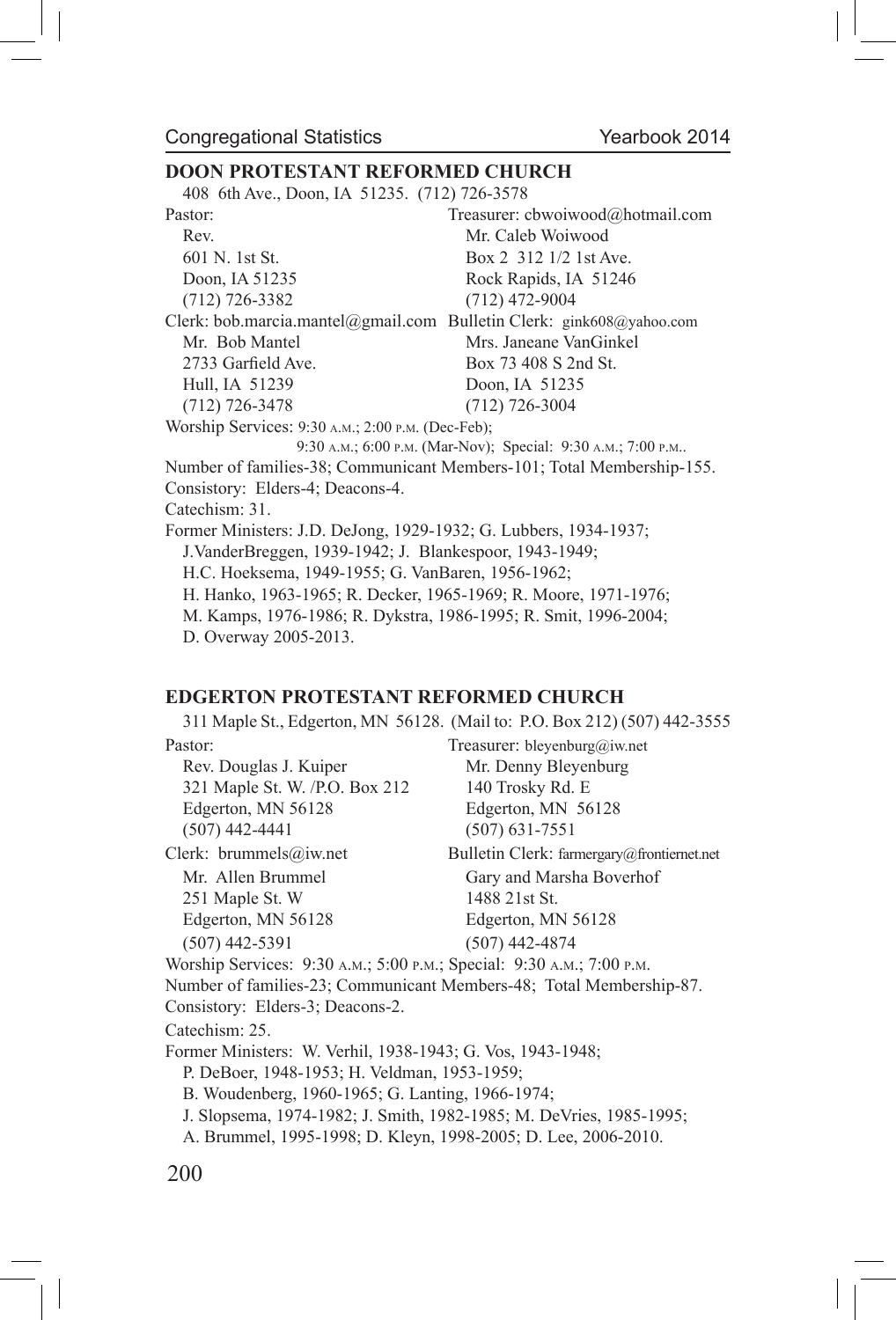# **DOON PROTESTANT REFORMED CHURCH**

408 6th Ave., Doon, IA 51235. (712) 726-3578

| Pastor:                                                              | Treasurer: cbwoiwood@hotmail.com                                      |
|----------------------------------------------------------------------|-----------------------------------------------------------------------|
| Rev.                                                                 | Mr. Caleb Woiwood                                                     |
| 601 N. 1st St.                                                       | Box 2 312 1/2 1st Ave.                                                |
| Doon, IA 51235                                                       | Rock Rapids, IA 51246                                                 |
| $(712)$ 726-3382                                                     | $(712)$ 472-9004                                                      |
| Clerk: bob.marcia.mantel@gmail.com Bulletin Clerk: gink608@yahoo.com |                                                                       |
| Mr. Bob Mantel                                                       | Mrs. Janeane VanGinkel                                                |
| 2733 Garfield Ave.                                                   | Box 73 408 S 2nd St.                                                  |
| Hull, IA 51239                                                       | Doon, IA 51235                                                        |
| $(712)$ 726-3478                                                     | $(712)$ 726-3004                                                      |
| Worship Services: 9:30 A.M.; 2:00 P.M. (Dec-Feb);                    |                                                                       |
|                                                                      | 9:30 A.M.; 6:00 P.M. (Mar-Nov); Special: 9:30 A.M.; 7:00 P.M          |
|                                                                      | Number of families-38; Communicant Members-101; Total Membership-155. |
| Consistory: Elders-4; Deacons-4.                                     |                                                                       |
| Catechism: 31.                                                       |                                                                       |
| Former Ministers: J.D. DeJong, 1929-1932; G. Lubbers, 1934-1937;     |                                                                       |
| J. VanderBreggen, 1939-1942; J. Blankespoor, 1943-1949;              |                                                                       |
| H.C. Hoeksema, 1949-1955; G. VanBaren, 1956-1962;                    |                                                                       |
| H. Hanko, 1963-1965; R. Decker, 1965-1969; R. Moore, 1971-1976;      |                                                                       |
| M. Kamps, 1976-1986; R. Dykstra, 1986-1995; R. Smit, 1996-2004;      |                                                                       |
| D. Overway 2005-2013.                                                |                                                                       |
|                                                                      |                                                                       |

#### **EDGERTON PROTESTANT REFORMED CHURCH**

|                                                                       | 311 Maple St., Edgerton, MN 56128. (Mail to: P.O. Box 212) (507) 442-3555 |
|-----------------------------------------------------------------------|---------------------------------------------------------------------------|
| Pastor:                                                               | Treasurer: bleyenburg@iw.net                                              |
| Rev. Douglas J. Kuiper                                                | Mr. Denny Bleyenburg                                                      |
| 321 Maple St. W. /P.O. Box 212                                        | 140 Trosky Rd. E                                                          |
| Edgerton, MN 56128                                                    | Edgerton, MN 56128                                                        |
| $(507)$ 442-4441                                                      | $(507)$ 631-7551                                                          |
| Clerk: brummels@iw.net                                                | Bulletin Clerk: farmergary@frontiernet.net                                |
| Mr. Allen Brummel                                                     | Gary and Marsha Boverhof                                                  |
| 251 Maple St. W                                                       | 1488 21st St.                                                             |
| Edgerton, MN 56128                                                    | Edgerton, MN 56128                                                        |
| $(507)$ 442-5391                                                      | $(507)$ 442-4874                                                          |
| Worship Services: 9:30 A.M.; 5:00 P.M.; Special: 9:30 A.M.; 7:00 P.M. |                                                                           |
|                                                                       | Number of families-23; Communicant Members-48; Total Membership-87.       |
| Consistory: Elders-3; Deacons-2.                                      |                                                                           |
| Catechism: 25.                                                        |                                                                           |
| Former Ministers: W. Verhil, 1938-1943; G. Vos. 1943-1948;            |                                                                           |
| P. DeBoer, 1948-1953; H. Veldman, 1953-1959;                          |                                                                           |
| B. Woudenberg, 1960-1965; G. Lanting, 1966-1974;                      |                                                                           |
|                                                                       | J. Slopsema, 1974-1982; J. Smith, 1982-1985; M. DeVries, 1985-1995;       |
| A. Brummel, 1995-1998; D. Kleyn, 1998-2005; D. Lee, 2006-2010.        |                                                                           |
| 200                                                                   |                                                                           |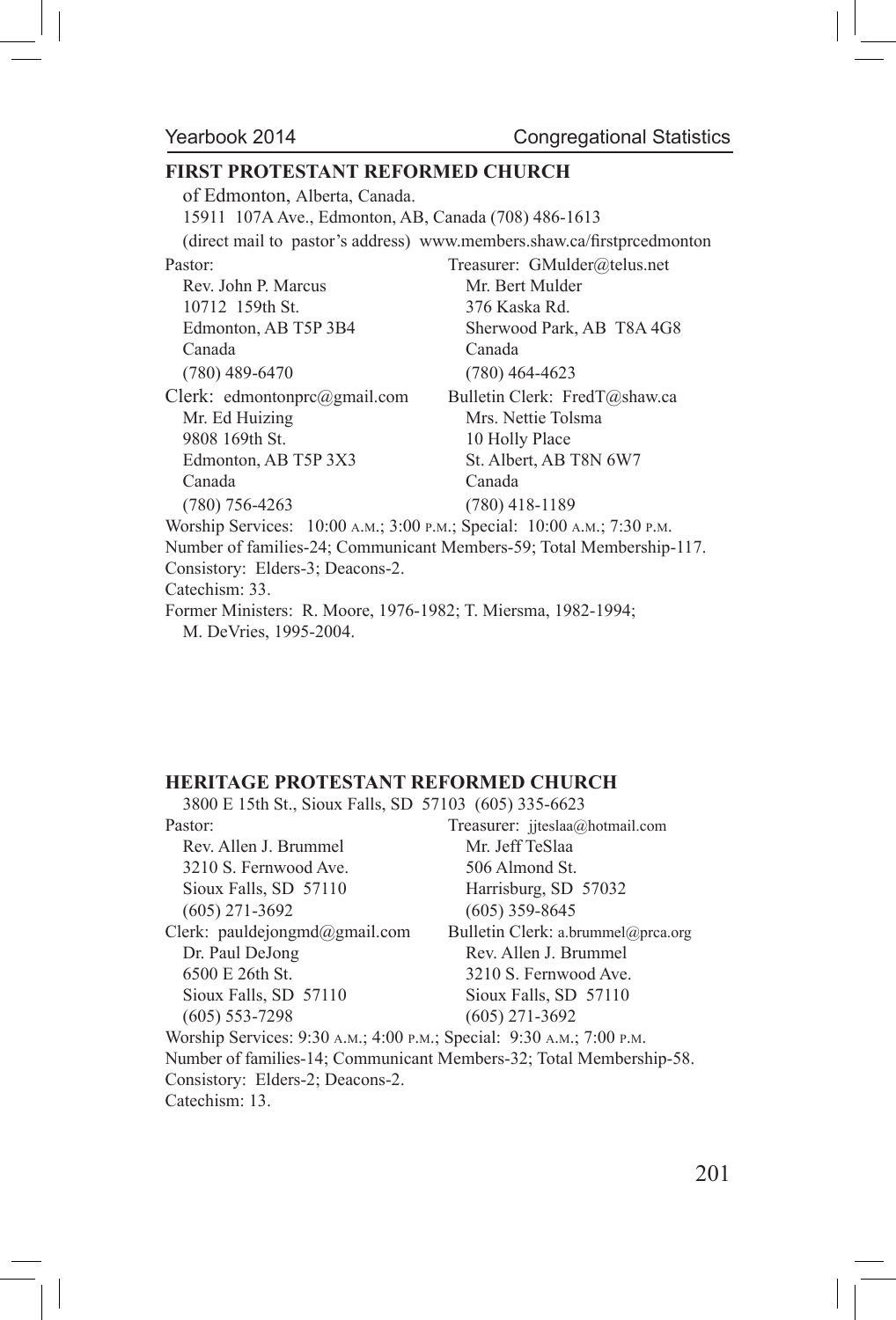#### **FIRST PROTESTANT REFORMED CHURCH**

of Edmonton, Alberta, Canada. 15911 107A Ave., Edmonton, AB, Canada (708) 486-1613 (direct mail to pastor's address) www.members.shaw.ca/firstprcedmonton Pastor: Treasurer: GMulder@telus.net Rev. John P. Marcus Mr. Bert Mulder 10712 159th St. 376 Kaska Rd. Edmonton, AB T5P 3B4 Sherwood Park, AB T8A 4G8 Canada Canada (780) 489-6470 (780) 464-4623 Clerk: edmontonprc@gmail.com Bulletin Clerk: FredT@shaw.ca Mr. Ed Huizing Mrs. Nettie Tolsma 9808 169th St. 10 Holly Place Edmonton, AB T5P 3X3 St. Albert, AB T8N 6W7 Canada Canada (780) 756-4263 (780) 418-1189 Worship Services: 10:00 a.m.; 3:00 p.m.; Special: 10:00 a.m.; 7:30 p.m. Number of families-24; Communicant Members-59; Total Membership-117. Consistory: Elders-3; Deacons-2. Catechism: 33. Former Ministers: R. Moore, 1976-1982; T. Miersma, 1982-1994; M. DeVries, 1995-2004.

### **HERITAGE PROTESTANT REFORMED CHURCH**

| 3800 E 15th St., Sioux Falls, SD 57103 (605) 335-6623                                                                                                                                                                                                                                                                                      |                                                                     |
|--------------------------------------------------------------------------------------------------------------------------------------------------------------------------------------------------------------------------------------------------------------------------------------------------------------------------------------------|---------------------------------------------------------------------|
| Pastor:                                                                                                                                                                                                                                                                                                                                    | Treasurer: $ijtesla@hotmail.com$                                    |
| Rev. Allen J. Brummel                                                                                                                                                                                                                                                                                                                      | Mr. Jeff TeSlaa                                                     |
| 3210 S. Fernwood Ave.                                                                                                                                                                                                                                                                                                                      | 506 Almond St.                                                      |
| Sioux Falls, SD 57110                                                                                                                                                                                                                                                                                                                      | Harrisburg, SD 57032                                                |
| $(605)$ 271-3692                                                                                                                                                                                                                                                                                                                           | $(605)$ 359-8645                                                    |
| Clerk: pauldejongmd $(a)$ gmail.com                                                                                                                                                                                                                                                                                                        | Bulletin Clerk: a.brummel@prca.org                                  |
| Dr. Paul DeJong                                                                                                                                                                                                                                                                                                                            | Rev. Allen J. Brummel                                               |
| 6500 E 26th St.                                                                                                                                                                                                                                                                                                                            | 3210 S. Fernwood Ave.                                               |
| Sioux Falls, SD 57110                                                                                                                                                                                                                                                                                                                      | Sioux Falls, SD 57110                                               |
| $(605)$ 553-7298                                                                                                                                                                                                                                                                                                                           | $(605)$ 271-3692                                                    |
| Worship Services: 9:30 A.M.; 4:00 P.M.; Special: 9:30 A.M.; 7:00 P.M.                                                                                                                                                                                                                                                                      |                                                                     |
|                                                                                                                                                                                                                                                                                                                                            | Number of families-14; Communicant Members-32; Total Membership-58. |
| Consistory: Elders-2; Deacons-2.                                                                                                                                                                                                                                                                                                           |                                                                     |
| $\cap$ $\ldots$ $\qquad$ $\qquad$ $\qquad$ $\qquad$ $\qquad$ $\qquad$ $\qquad$ $\qquad$ $\qquad$ $\qquad$ $\qquad$ $\qquad$ $\qquad$ $\qquad$ $\qquad$ $\qquad$ $\qquad$ $\qquad$ $\qquad$ $\qquad$ $\qquad$ $\qquad$ $\qquad$ $\qquad$ $\qquad$ $\qquad$ $\qquad$ $\qquad$ $\qquad$ $\qquad$ $\qquad$ $\qquad$ $\qquad$ $\qquad$ $\qquad$ |                                                                     |

Catechism: 13.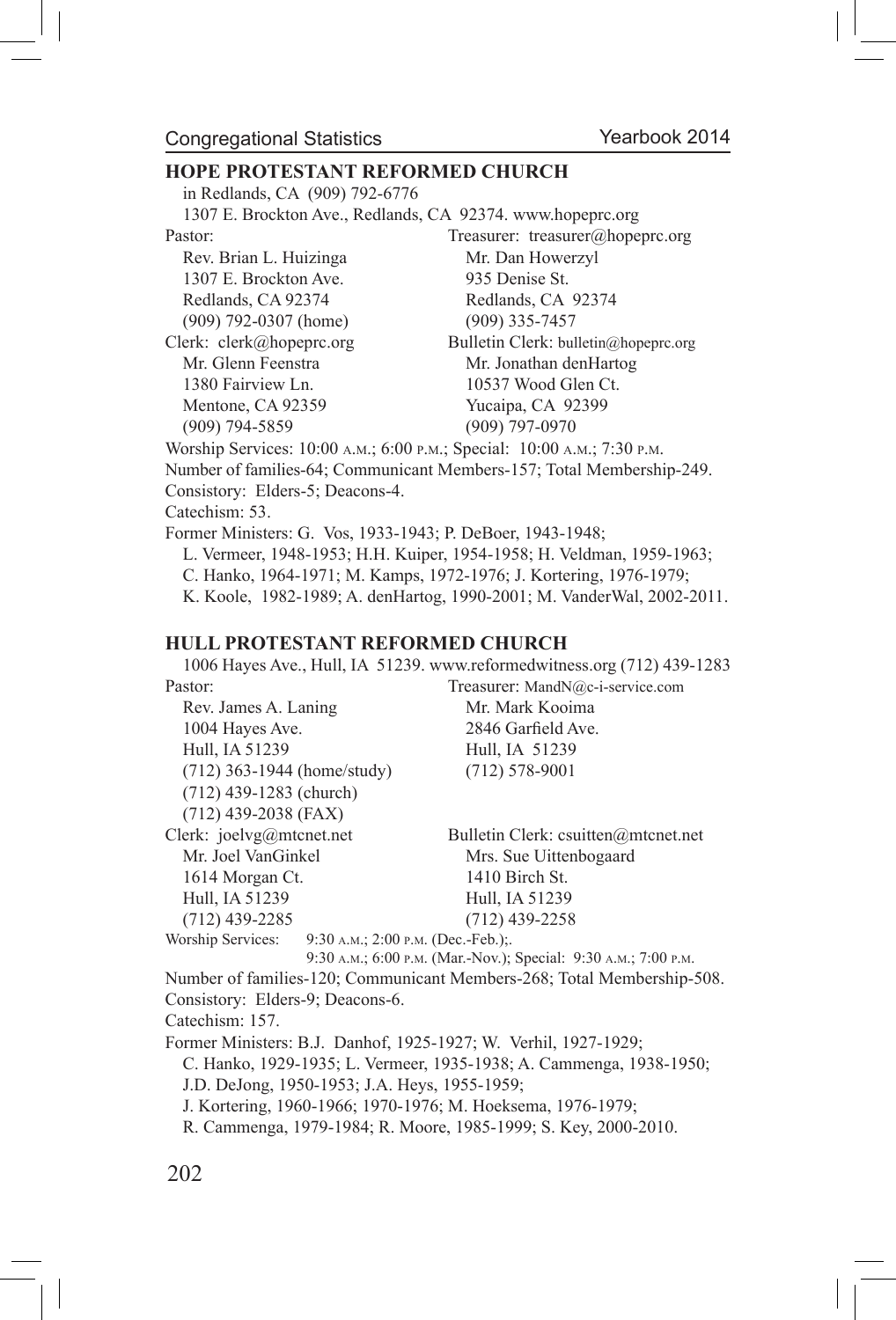#### Congregational Statistics

#### **HOPE PROTESTANT REFORMED CHURCH**

in Redlands, CA (909) 792-6776

| 1307 E. Brockton Ave., Redlands, CA 92374. www.hopeprc.org              |                                                                       |  |  |  |  |
|-------------------------------------------------------------------------|-----------------------------------------------------------------------|--|--|--|--|
| Pastor:                                                                 | Treasurer: treasurer@hopeprc.org                                      |  |  |  |  |
| Rev. Brian L. Huizinga                                                  | Mr. Dan Howerzyl                                                      |  |  |  |  |
| 1307 E. Brockton Ave.                                                   | 935 Denise St.                                                        |  |  |  |  |
| Redlands, CA 92374                                                      | Redlands, CA 92374                                                    |  |  |  |  |
| $(909)$ 792-0307 (home)                                                 | $(909)$ 335-7457                                                      |  |  |  |  |
| Clerk: clerk@hopeprc.org                                                | Bulletin Clerk: bulletin@hopeprc.org                                  |  |  |  |  |
| Mr. Glenn Feenstra                                                      | Mr. Jonathan denHartog                                                |  |  |  |  |
| 1380 Fairview Ln.                                                       | 10537 Wood Glen Ct.                                                   |  |  |  |  |
| Mentone, CA 92359                                                       | Yucaipa, CA 92399                                                     |  |  |  |  |
| $(909)$ 794-5859                                                        | $(909)$ 797-0970                                                      |  |  |  |  |
| Worship Services: 10:00 A.M.; 6:00 P.M.; Special: 10:00 A.M.; 7:30 P.M. |                                                                       |  |  |  |  |
|                                                                         | Number of families-64; Communicant Members-157; Total Membership-249. |  |  |  |  |
| Consistory: Elders-5; Deacons-4.                                        |                                                                       |  |  |  |  |
| Catechism: 53.                                                          |                                                                       |  |  |  |  |
| Former Ministers: G. Vos. 1933-1943; P. DeBoer, 1943-1948;              |                                                                       |  |  |  |  |
| L. Vermeer, 1948-1953; H.H. Kuiper, 1954-1958; H. Veldman, 1959-1963;   |                                                                       |  |  |  |  |
|                                                                         |                                                                       |  |  |  |  |

# C. Hanko, 1964-1971; M. Kamps, 1972-1976; J. Kortering, 1976-1979;

K. Koole, 1982-1989; A. denHartog, 1990-2001; M. VanderWal, 2002-2011.

#### **HULL PROTESTANT REFORMED CHURCH**

1006 Hayes Ave., Hull, IA 51239. www.reformedwitness.org (712) 439-1283

| Pastor:                     | Treasurer: MandN@c-i-service.com    |
|-----------------------------|-------------------------------------|
| Rev. James A. Laning        | Mr. Mark Kooima                     |
| 1004 Hayes Ave.             | 2846 Garfield Ave.                  |
| Hull, IA 51239              | Hull, IA 51239                      |
| (712) 363-1944 (home/study) | $(712)$ 578-9001                    |
| $(712)$ 439-1283 (church)   |                                     |
| $(712)$ 439-2038 (FAX)      |                                     |
| Clerk: joelvg@mtcnet.net    | Bulletin Clerk: csuitten@mtcnet.net |
| Mr. Joel VanGinkel          | Mrs. Sue Uittenbogaard              |
| 1614 Morgan Ct.             | 1410 Birch St.                      |
| Hull, IA 51239              | Hull, IA 51239                      |
| $(712)$ 439-2285            | $(712)$ 439-2258                    |
| Worship Services:           | 9:30 A.M.; 2:00 P.M. (Dec.-Feb.);   |
|                             |                                     |

 9:30 a.m.; 6:00 p.m. (Mar.-Nov.); Special: 9:30 a.m.; 7:00 p.m. Number of families-120; Communicant Members-268; Total Membership-508. Consistory: Elders-9; Deacons-6.

Catechism: 157.

Former Ministers: B.J. Danhof, 1925-1927; W. Verhil, 1927-1929;

C. Hanko, 1929-1935; L. Vermeer, 1935-1938; A. Cammenga, 1938-1950;

J.D. DeJong, 1950-1953; J.A. Heys, 1955-1959;

J. Kortering, 1960-1966; 1970-1976; M. Hoeksema, 1976-1979;

R. Cammenga, 1979-1984; R. Moore, 1985-1999; S. Key, 2000-2010.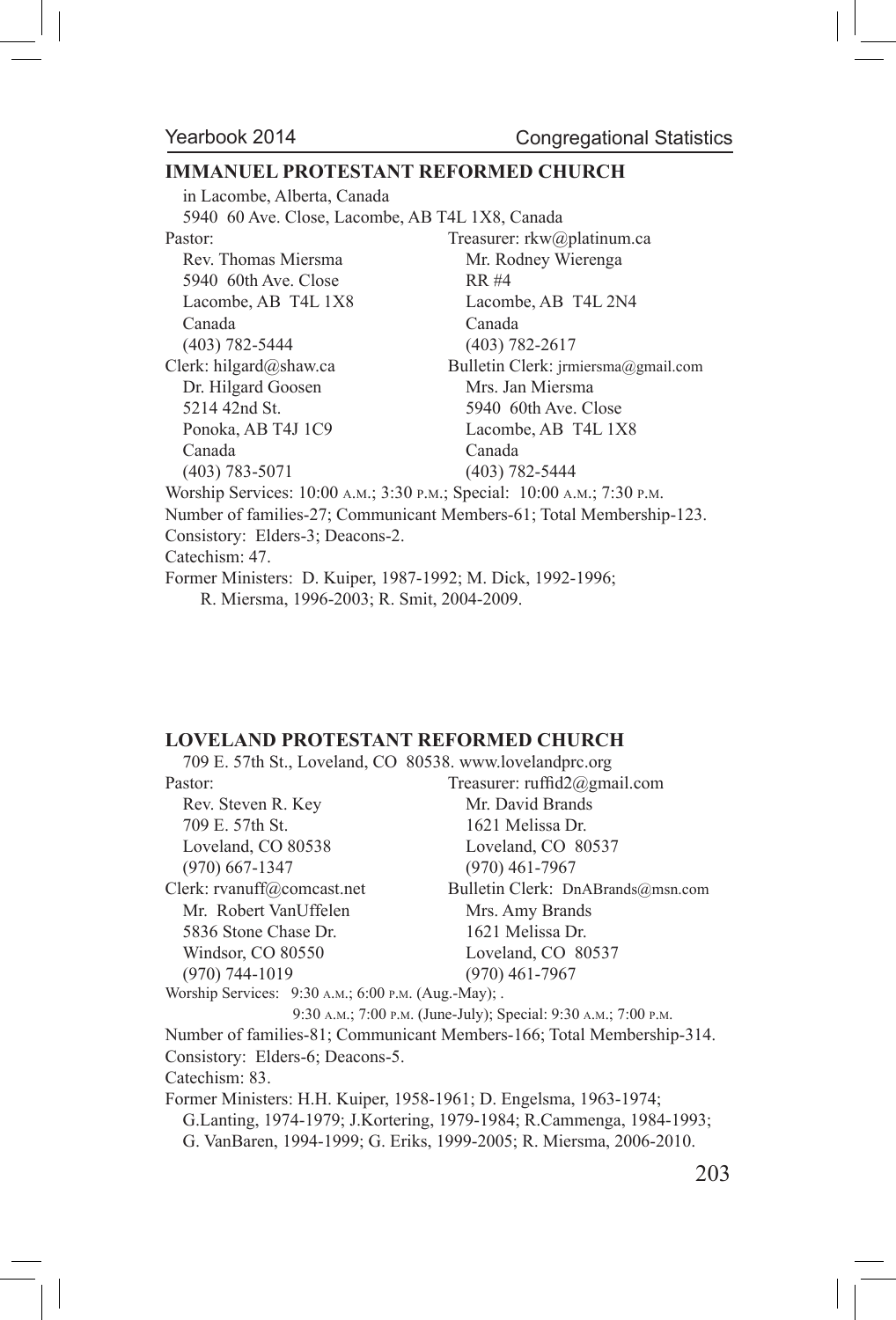#### **IMMANUEL PROTESTANT REFORMED CHURCH**

in Lacombe, Alberta, Canada 5940 60 Ave. Close, Lacombe, AB T4L 1X8, Canada Pastor: Treasurer: rkw@platinum.ca Rev. Thomas Miersma Mr. Rodney Wierenga 5940 60th Ave. Close RR #4 Lacombe, AB T4L 1X8 Lacombe, AB T4L 2N4 Canada Canada (403) 782-5444 (403) 782-2617 Clerk: hilgard@shaw.ca Bulletin Clerk: jrmiersma@gmail.com Dr. Hilgard Goosen Mrs. Jan Miersma 5214 42nd St. 5940 60th Ave. Close Ponoka, AB T4J 1C9 Lacombe, AB T4L 1X8 Canada Canada (403) 783-5071 (403) 782-5444 Worship Services: 10:00 a.m.; 3:30 p.m.; Special: 10:00 a.m.; 7:30 p.m.

Number of families-27; Communicant Members-61; Total Membership-123. Consistory: Elders-3; Deacons-2.

Catechism: 47.

Former Ministers: D. Kuiper, 1987-1992; M. Dick, 1992-1996; R. Miersma, 1996-2003; R. Smit, 2004-2009.

#### **LOVELAND PROTESTANT REFORMED CHURCH**

709 E. 57th St., Loveland, CO 80538. www.lovelandprc.org Pastor: Treasurer: ruffid2@gmail.com Rev. Steven R. Key Mr. David Brands 709 E. 57th St. 1621 Melissa Dr. Loveland, CO 80538 Loveland, CO 80537 (970) 667-1347 (970) 461-7967 Clerk: rvanuff@comcast.net Bulletin Clerk: DnABrands@msn.com Mr. Robert VanUffelen Mrs. Amy Brands 5836 Stone Chase Dr. 1621 Melissa Dr. Windsor, CO 80550 Loveland, CO 80537 (970) 744-1019 (970) 461-7967 Worship Services: 9:30 a.m.; 6:00 p.m. (Aug.-May); . 9:30 a.m.; 7:00 p.m. (June-July); Special: 9:30 a.m.; 7:00 p.m. Number of families-81; Communicant Members-166; Total Membership-314. Consistory: Elders-6; Deacons-5. Catechism: 83. Former Ministers: H.H. Kuiper, 1958-1961; D. Engelsma, 1963-1974; G.Lanting, 1974-1979; J.Kortering, 1979-1984; R.Cammenga, 1984-1993; G. VanBaren, 1994-1999; G. Eriks, 1999-2005; R. Miersma, 2006-2010.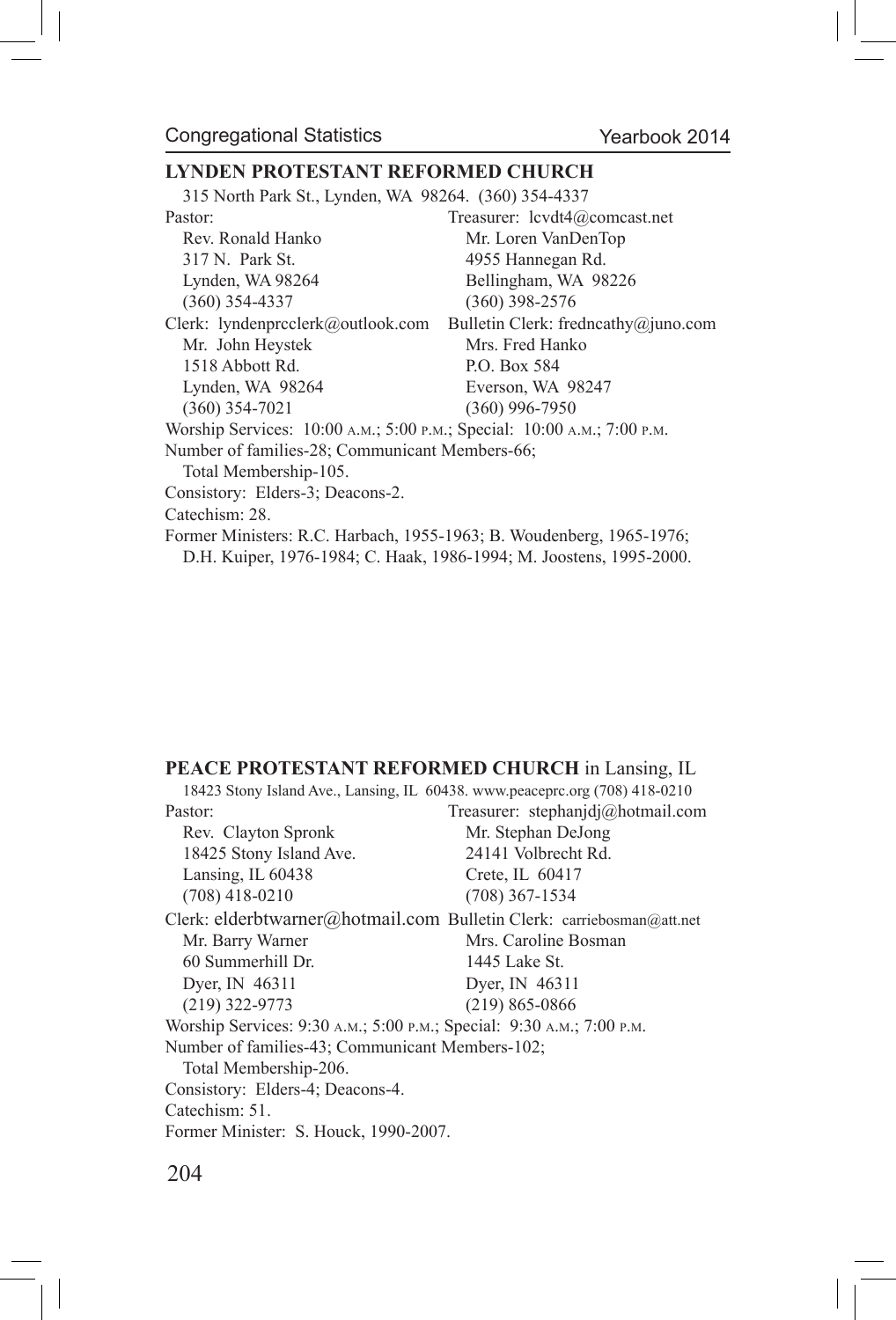#### **LYNDEN PROTESTANT REFORMED CHURCH**

315 North Park St., Lynden, WA 98264. (360) 354-4337

Pastor: Treasurer: lcvdt4@comcast.net Rev. Ronald Hanko Mr. Loren VanDenTop 317 N. Park St. 4955 Hannegan Rd. Lynden, WA 98264 Bellingham, WA 98226 (360) 354-4337 (360) 398-2576 Clerk: lyndenprcclerk@outlook.com Bulletin Clerk: fredncathy@juno.com Mr. John Heystek Mrs. Fred Hanko 1518 Abbott Rd. P.O. Box 584 Lynden, WA 98264 Everson, WA 98247 (360) 354-7021 (360) 996-7950 Worship Services: 10:00 a.m.; 5:00 p.m.; Special: 10:00 a.m.; 7:00 p.m. Number of families-28; Communicant Members-66; Total Membership-105. Consistory: Elders-3; Deacons-2. Catechism: 28. Former Ministers: R.C. Harbach, 1955-1963; B. Woudenberg, 1965-1976; D.H. Kuiper, 1976-1984; C. Haak, 1986-1994; M. Joostens, 1995-2000.

#### **PEACE PROTESTANT REFORMED CHURCH** in Lansing, IL

| 18423 Stony Island Ave., Lansing, IL 60438. www.peaceprc.org (708) 418-0210 |                                   |
|-----------------------------------------------------------------------------|-----------------------------------|
| Pastor:                                                                     | Treasurer: stephanjdj@hotmail.com |
| Rev. Clayton Spronk                                                         | Mr. Stephan DeJong                |
| 18425 Stony Island Ave.                                                     | 24141 Volbrecht Rd.               |
| Lansing, IL $60438$                                                         | Crete, IL 60417                   |
| $(708)$ 418-0210                                                            | $(708)$ 367-1534                  |
| Clerk: elderbtwarner@hotmail.com Bulletin Clerk: carriebosman@att.net       |                                   |
| Mr. Barry Warner                                                            | Mrs. Caroline Bosman              |
| 60 Summerhill Dr.                                                           | 1445 Lake St.                     |
| Dyer, IN 46311                                                              | Dyer, IN 46311                    |
| $(219)$ 322-9773                                                            | $(219) 865 - 0866$                |
| Worship Services: 9:30 A.M.; 5:00 P.M.; Special: 9:30 A.M.; 7:00 P.M.       |                                   |
| Number of families-43; Communicant Members-102;                             |                                   |
| Total Membership-206.                                                       |                                   |
| Consistory: Elders-4; Deacons-4.                                            |                                   |
| Catechism: 51.                                                              |                                   |
| Former Minister: S. Houck, 1990-2007.                                       |                                   |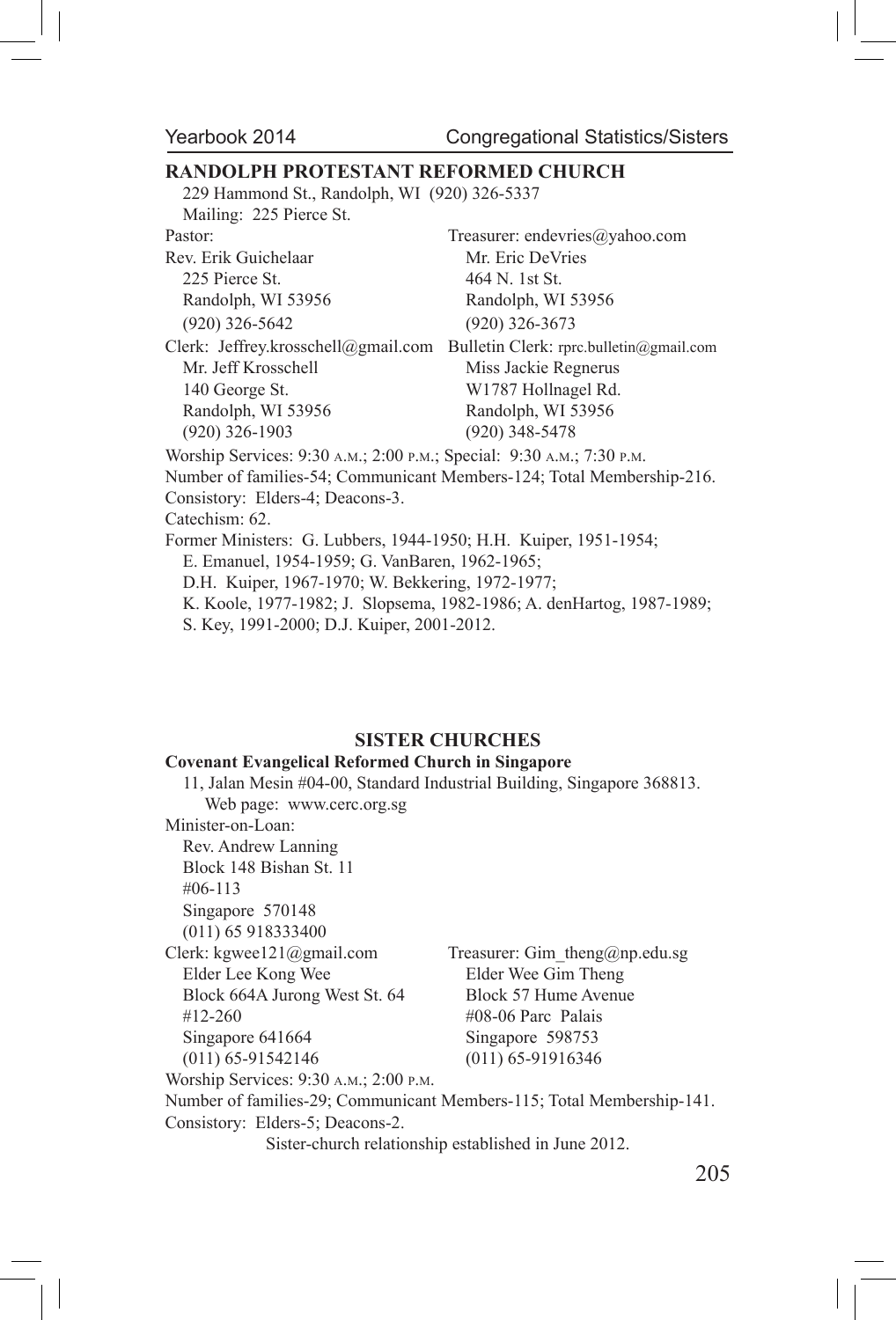#### **RANDOLPH PROTESTANT REFORMED CHURCH**

229 Hammond St., Randolph, WI (920) 326-5337

Mailing: 225 Pierce St.

Rev. Erik Guichelaar Mr. Eric DeVries 225 Pierce St. 464 N. 1st St. (920) 326-5642 (920) 326-3673

Pastor: Treasurer: endevries@yahoo.com Randolph, WI 53956 Randolph, WI 53956

Clerk: Jeffrey.krosschell@gmail.com Bulletin Clerk: rprc.bulletin@gmail.com Mr. Jeff Krosschell Miss Jackie Regnerus 140 George St. W1787 Hollnagel Rd. Randolph, WI 53956 Randolph, WI 53956 (920) 326-1903 (920) 348-5478

Worship Services: 9:30 a.m.; 2:00 p.m.; Special: 9:30 a.m.; 7:30 p.m.

Number of families-54; Communicant Members-124; Total Membership-216.

Consistory: Elders-4; Deacons-3.

Catechism: 62.

Former Ministers: G. Lubbers, 1944-1950; H.H. Kuiper, 1951-1954;

E. Emanuel, 1954-1959; G. VanBaren, 1962-1965;

D.H. Kuiper, 1967-1970; W. Bekkering, 1972-1977;

K. Koole, 1977-1982; J. Slopsema, 1982-1986; A. denHartog, 1987-1989;

S. Key, 1991-2000; D.J. Kuiper, 2001-2012.

### **SISTER CHURCHES**

#### **Covenant Evangelical Reformed Church in Singapore**

11, Jalan Mesin #04-00, Standard Industrial Building, Singapore 368813. Web page: www.cerc.org.sg Minister-on-Loan: Rev. Andrew Lanning Block 148 Bishan St. 11 #06-113 Singapore 570148 (011) 65 918333400 Clerk: kgwee121@gmail.com Treasurer: Gim theng@np.edu.sg Elder Lee Kong Wee Elder Wee Gim Theng Block 664A Jurong West St. 64 Block 57 Hume Avenue #12-260 #08-06 Parc Palais Singapore 641664 Singapore 598753 (011) 65-91542146 (011) 65-91916346 Worship Services: 9:30 a.m.; 2:00 p.m. Number of families-29; Communicant Members-115; Total Membership-141. Consistory: Elders-5; Deacons-2. Sister-church relationship established in June 2012.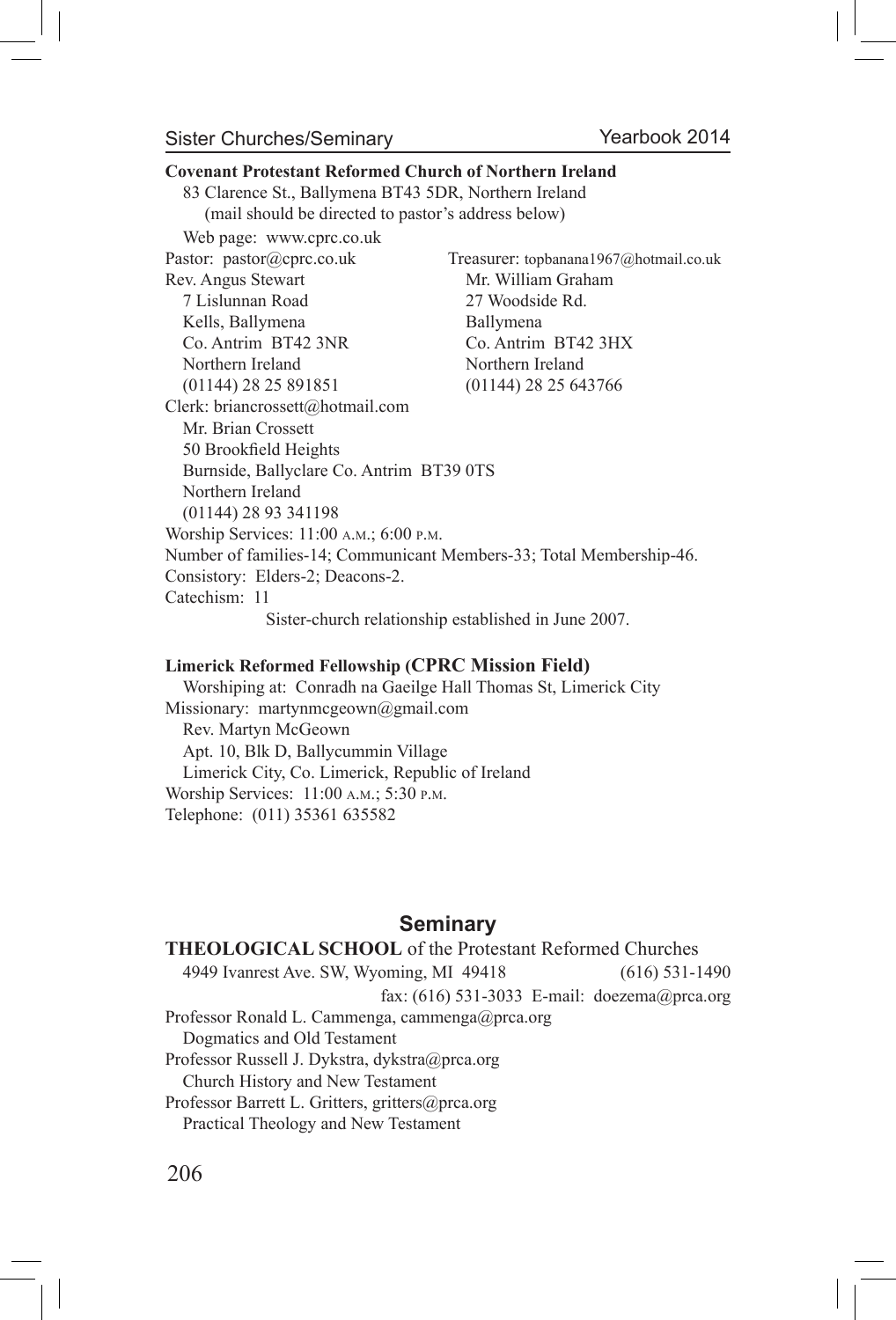#### Sister Churches/Seminary

# **Covenant Protestant Reformed Church of Northern Ireland** 83 Clarence St., Ballymena BT43 5DR, Northern Ireland (mail should be directed to pastor's address below) Web page: www.cprc.co.uk Pastor: pastor@cprc.co.uk Treasurer: topbanana1967@hotmail.co.uk Rev. Angus Stewart Mr. William Graham 7 Lislunnan Road 27 Woodside Rd. Kells, Ballymena Ballymena Co. Antrim BT42 3NR Co. Antrim BT42 3HX Northern Ireland Northern Ireland (01144) 28 25 891851 (01144) 28 25 643766 Clerk: briancrossett@hotmail.com Mr. Brian Crossett 50 Brookfield Heights Burnside, Ballyclare Co. Antrim BT39 0TS Northern Ireland (01144) 28 93 341198 Worship Services: 11:00 a.m.; 6:00 p.m. Number of families-14; Communicant Members-33; Total Membership-46. Consistory: Elders-2; Deacons-2. Catechism: 11 Sister-church relationship established in June 2007. **Limerick Reformed Fellowship (CPRC Mission Field)**

Worshiping at: Conradh na Gaeilge Hall Thomas St, Limerick City Missionary: martynmcgeown@gmail.com Rev. Martyn McGeown Apt. 10, Blk D, Ballycummin Village Limerick City, Co. Limerick, Republic of Ireland Worship Services: 11:00 a.m.; 5:30 p.m. Telephone: (011) 35361 635582

## **Seminary**

### **THEOLOGICAL SCHOOL** of the Protestant Reformed Churches 4949 Ivanrest Ave. SW, Wyoming, MI 49418 (616) 531-1490 fax: (616) 531-3033 E-mail: doezema@prca.org Professor Ronald L. Cammenga, cammenga@prca.org Dogmatics and Old Testament Professor Russell J. Dykstra, dykstra@prca.org Church History and New Testament Professor Barrett L. Gritters, gritters@prca.org Practical Theology and New Testament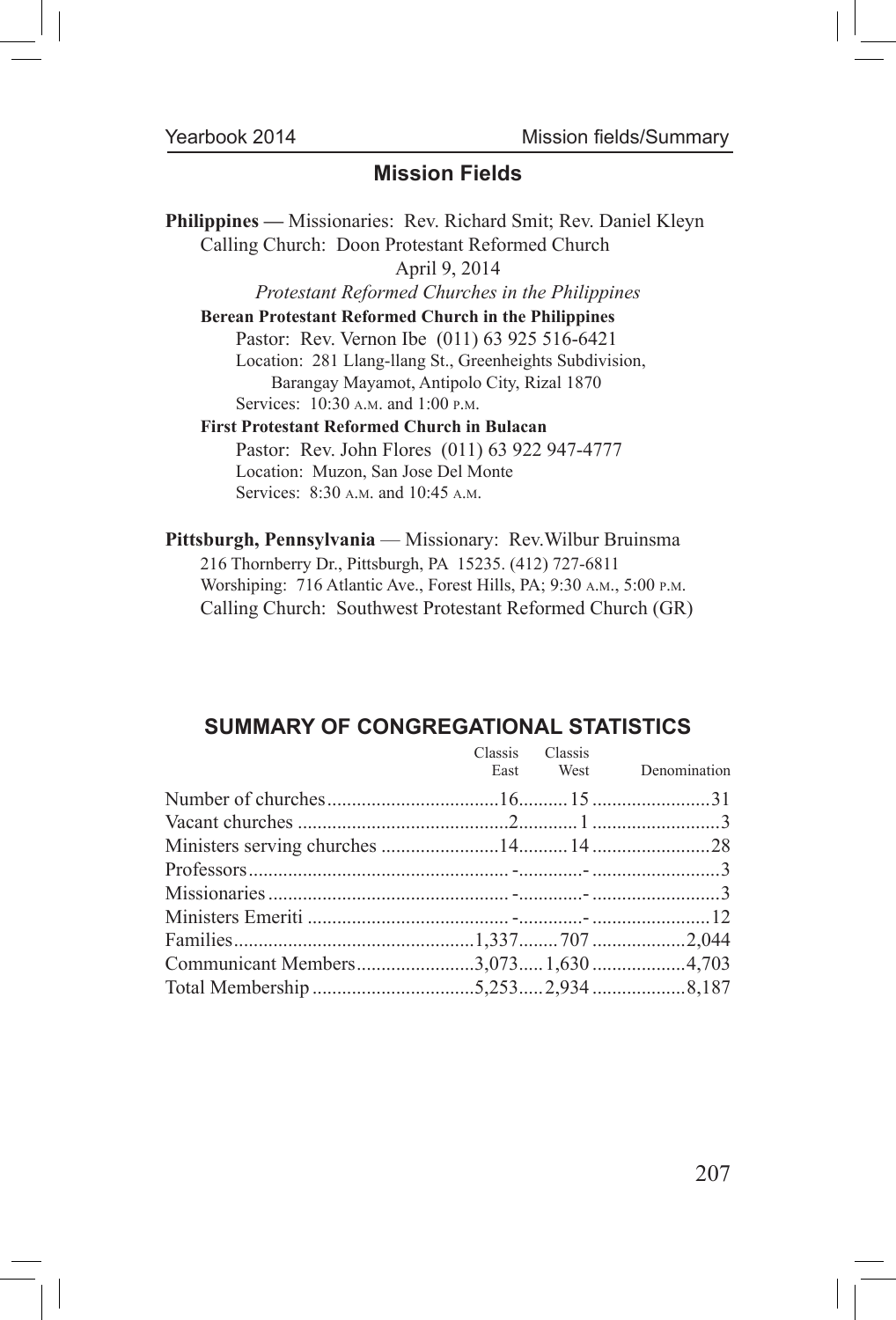# **Mission Fields**

**Philippines —** Missionaries: Rev. Richard Smit; Rev. Daniel Kleyn Calling Church: Doon Protestant Reformed Church April 9, 2014 *Protestant Reformed Churches in the Philippines* **Berean Protestant Reformed Church in the Philippines** Pastor: Rev. Vernon Ibe (011) 63 925 516-6421 Location: 281 Llang-llang St., Greenheights Subdivision, Barangay Mayamot, Antipolo City, Rizal 1870 Services: 10:30 a.m. and 1:00 p.m. **First Protestant Reformed Church in Bulacan** Pastor: Rev. John Flores (011) 63 922 947-4777 Location: Muzon, San Jose Del Monte Services: 8:30 a.m. and 10:45 a.m.

**Pittsburgh, Pennsylvania** — Missionary: Rev.Wilbur Bruinsma 216 Thornberry Dr., Pittsburgh, PA 15235. (412) 727-6811 Worshiping: 716 Atlantic Ave., Forest Hills, PA; 9:30 a.m., 5:00 p.m. Calling Church: Southwest Protestant Reformed Church (GR)

# **SUMMARY OF CONGREGATIONAL STATISTICS**

|  | Classis Classis | East West Denomination |
|--|-----------------|------------------------|
|  |                 |                        |
|  |                 |                        |
|  |                 |                        |
|  |                 |                        |
|  |                 |                        |
|  |                 |                        |
|  |                 |                        |
|  |                 |                        |
|  |                 |                        |
|  |                 |                        |